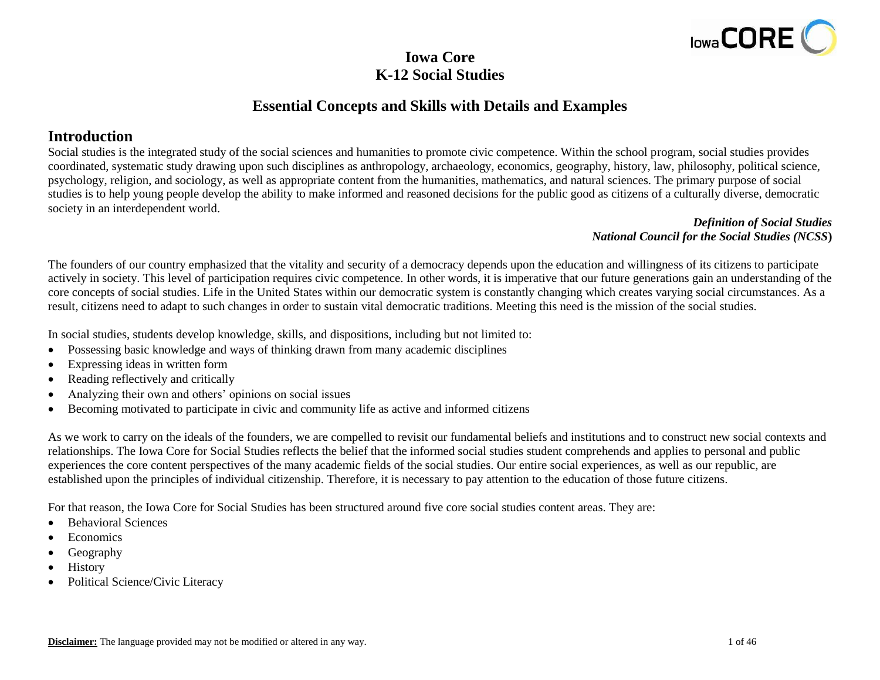

# **Iowa Core K-12 Social Studies**

# **Essential Concepts and Skills with Details and Examples**

# **Introduction**

Social studies is the integrated study of the social sciences and humanities to promote civic competence. Within the school program, social studies provides coordinated, systematic study drawing upon such disciplines as anthropology, archaeology, economics, geography, history, law, philosophy, political science, psychology, religion, and sociology, as well as appropriate content from the humanities, mathematics, and natural sciences. The primary purpose of social studies is to help young people develop the ability to make informed and reasoned decisions for the public good as citizens of a culturally diverse, democratic society in an interdependent world.

#### *Definition of Social Studies National Council for the Social Studies (NCSS***)**

The founders of our country emphasized that the vitality and security of a democracy depends upon the education and willingness of its citizens to participate actively in society. This level of participation requires civic competence. In other words, it is imperative that our future generations gain an understanding of the core concepts of social studies. Life in the United States within our democratic system is constantly changing which creates varying social circumstances. As a result, citizens need to adapt to such changes in order to sustain vital democratic traditions. Meeting this need is the mission of the social studies.

In social studies, students develop knowledge, skills, and dispositions, including but not limited to:

- Possessing basic knowledge and ways of thinking drawn from many academic disciplines
- Expressing ideas in written form
- Reading reflectively and critically
- Analyzing their own and others' opinions on social issues
- Becoming motivated to participate in civic and community life as active and informed citizens

As we work to carry on the ideals of the founders, we are compelled to revisit our fundamental beliefs and institutions and to construct new social contexts and relationships. The Iowa Core for Social Studies reflects the belief that the informed social studies student comprehends and applies to personal and public experiences the core content perspectives of the many academic fields of the social studies. Our entire social experiences, as well as our republic, are established upon the principles of individual citizenship. Therefore, it is necessary to pay attention to the education of those future citizens.

For that reason, the Iowa Core for Social Studies has been structured around five core social studies content areas. They are:

- Behavioral Sciences
- Economics
- Geography
- History
- Political Science/Civic Literacy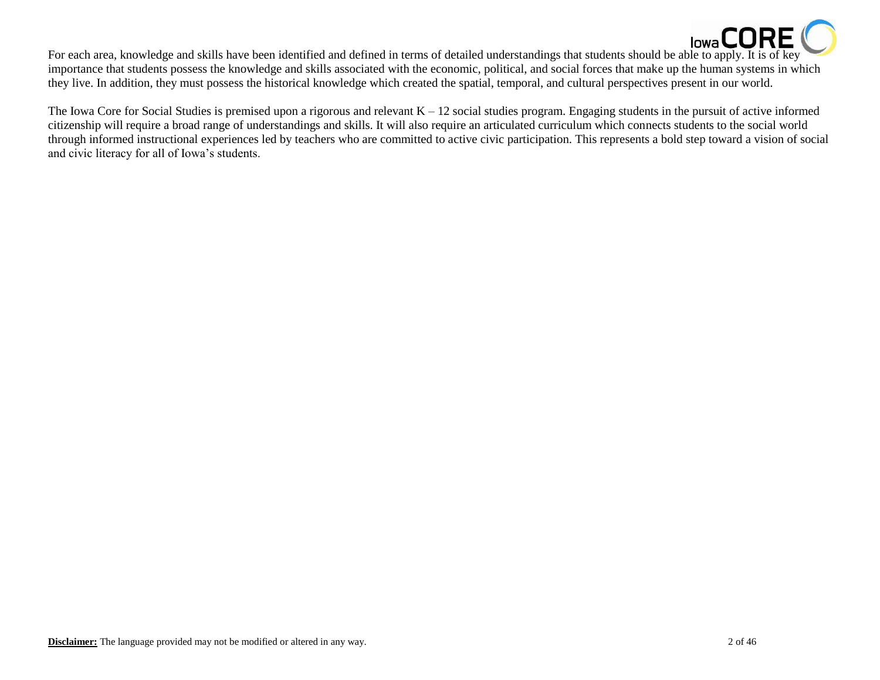

**For each area, knowledge and skills have been identified and defined in terms of detailed understandings that students should be able to apply. It is of key** importance that students possess the knowledge and skills associated with the economic, political, and social forces that make up the human systems in which they live. In addition, they must possess the historical knowledge which created the spatial, temporal, and cultural perspectives present in our world.

The Iowa Core for Social Studies is premised upon a rigorous and relevant  $K - 12$  social studies program. Engaging students in the pursuit of active informed citizenship will require a broad range of understandings and skills. It will also require an articulated curriculum which connects students to the social world through informed instructional experiences led by teachers who are committed to active civic participation. This represents a bold step toward a vision of social and civic literacy for all of Iowa's students.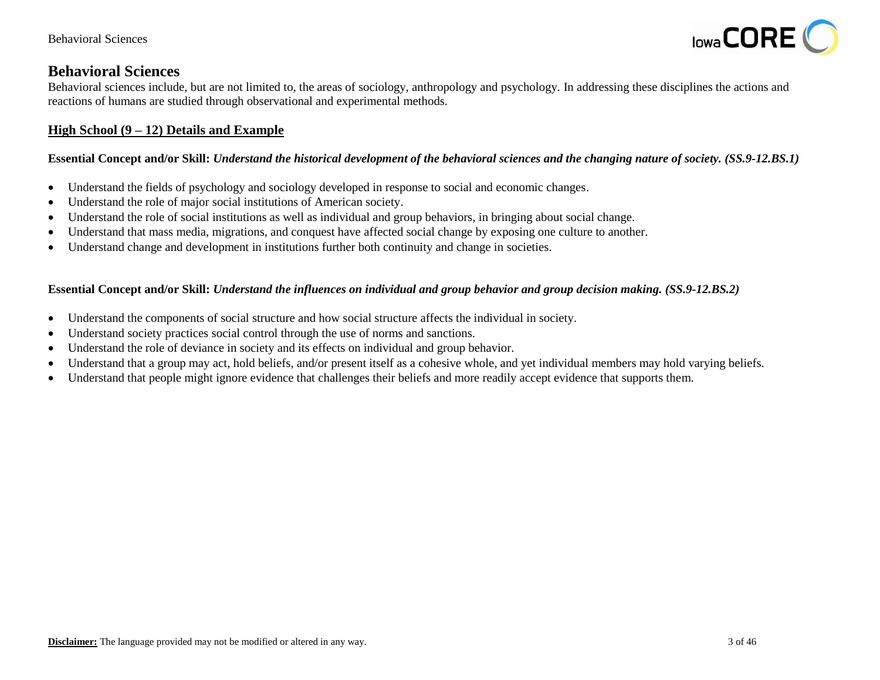

# **Behavioral Sciences**

Behavioral sciences include, but are not limited to, the areas of sociology, anthropology and psychology. In addressing these disciplines the actions and reactions of humans are studied through observational and experimental methods.

# **High School (9 – 12) Details and Example**

# **Essential Concept and/or Skill:** *Understand the historical development of the behavioral sciences and the changing nature of society. (SS.9-12.BS.1)*

- Understand the fields of psychology and sociology developed in response to social and economic changes.
- Understand the role of major social institutions of American society.
- Understand the role of social institutions as well as individual and group behaviors, in bringing about social change.
- Understand that mass media, migrations, and conquest have affected social change by exposing one culture to another.
- Understand change and development in institutions further both continuity and change in societies.

#### **Essential Concept and/or Skill:** *Understand the influences on individual and group behavior and group decision making. (SS.9-12.BS.2)*

- Understand the components of social structure and how social structure affects the individual in society.
- Understand society practices social control through the use of norms and sanctions.
- Understand the role of deviance in society and its effects on individual and group behavior.
- Understand that a group may act, hold beliefs, and/or present itself as a cohesive whole, and yet individual members may hold varying beliefs.
- Understand that people might ignore evidence that challenges their beliefs and more readily accept evidence that supports them.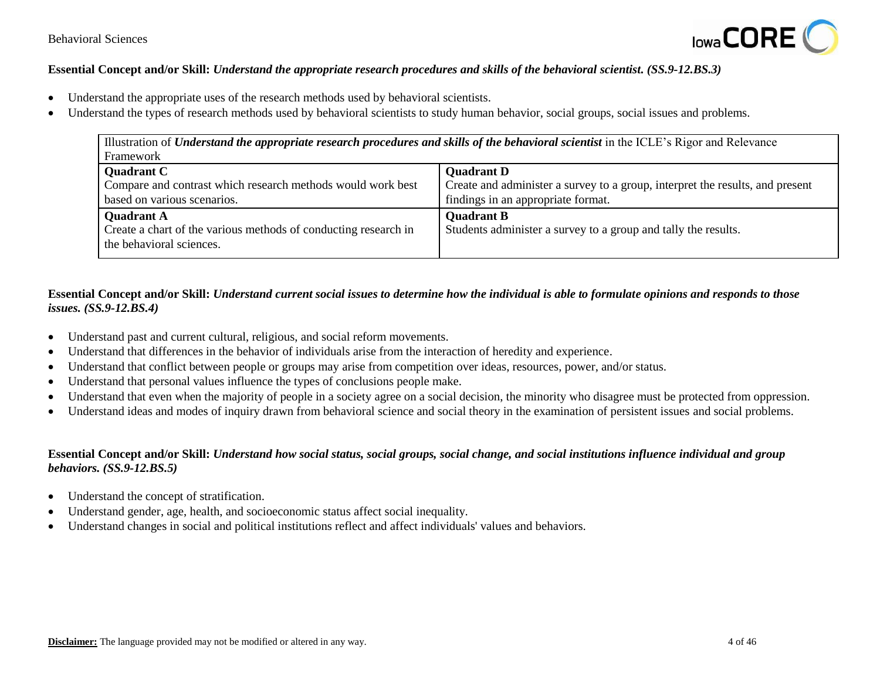

#### **Essential Concept and/or Skill:** *Understand the appropriate research procedures and skills of the behavioral scientist. (SS.9-12.BS.3)*

- Understand the appropriate uses of the research methods used by behavioral scientists.
- Understand the types of research methods used by behavioral scientists to study human behavior, social groups, social issues and problems.

| Illustration of Understand the appropriate research procedures and skills of the behavioral scientist in the ICLE's Rigor and Relevance |                                                                               |
|-----------------------------------------------------------------------------------------------------------------------------------------|-------------------------------------------------------------------------------|
| Framework                                                                                                                               |                                                                               |
| <b>Quadrant C</b>                                                                                                                       | <b>Quadrant D</b>                                                             |
| Compare and contrast which research methods would work best                                                                             | Create and administer a survey to a group, interpret the results, and present |
| based on various scenarios.                                                                                                             | findings in an appropriate format.                                            |
| <b>Quadrant A</b>                                                                                                                       | <b>Quadrant B</b>                                                             |
| Create a chart of the various methods of conducting research in                                                                         | Students administer a survey to a group and tally the results.                |
| the behavioral sciences.                                                                                                                |                                                                               |

## **Essential Concept and/or Skill:** *Understand current social issues to determine how the individual is able to formulate opinions and responds to those issues. (SS.9-12.BS.4)*

- Understand past and current cultural, religious, and social reform movements.
- Understand that differences in the behavior of individuals arise from the interaction of heredity and experience.
- Understand that conflict between people or groups may arise from competition over ideas, resources, power, and/or status.
- Understand that personal values influence the types of conclusions people make.
- Understand that even when the majority of people in a society agree on a social decision, the minority who disagree must be protected from oppression.
- Understand ideas and modes of inquiry drawn from behavioral science and social theory in the examination of persistent issues and social problems.

## **Essential Concept and/or Skill:** *Understand how social status, social groups, social change, and social institutions influence individual and group behaviors. (SS.9-12.BS.5)*

- Understand the concept of stratification.
- Understand gender, age, health, and socioeconomic status affect social inequality.
- Understand changes in social and political institutions reflect and affect individuals' values and behaviors.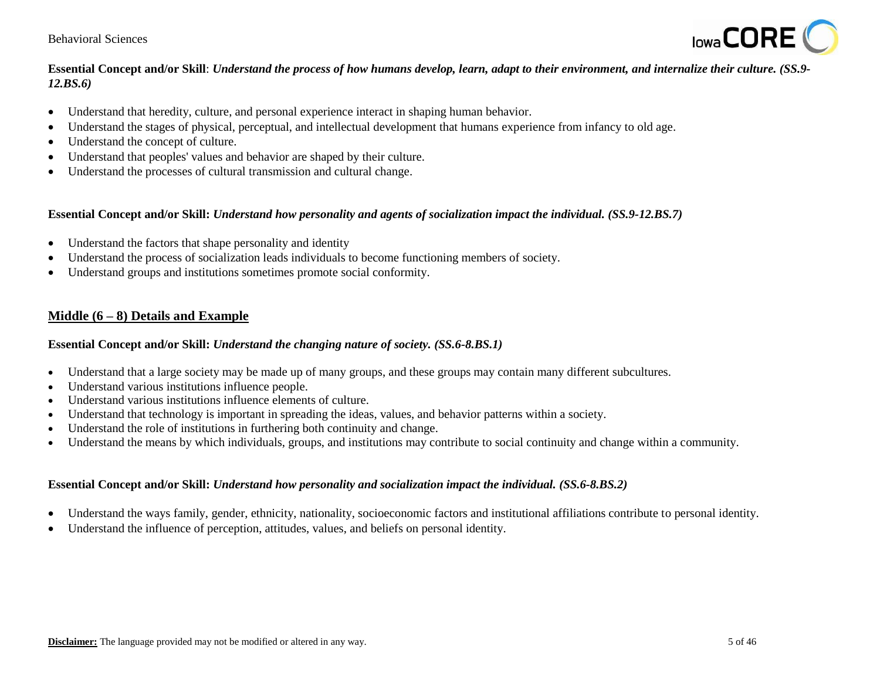#### Behavioral Sciences



## **Essential Concept and/or Skill**: *Understand the process of how humans develop, learn, adapt to their environment, and internalize their culture. (SS.9- 12.BS.6)*

- Understand that heredity, culture, and personal experience interact in shaping human behavior.
- Understand the stages of physical, perceptual, and intellectual development that humans experience from infancy to old age.
- Understand the concept of culture.
- Understand that peoples' values and behavior are shaped by their culture.
- Understand the processes of cultural transmission and cultural change.

#### **Essential Concept and/or Skill:** *Understand how personality and agents of socialization impact the individual. (SS.9-12.BS.7)*

- Understand the factors that shape personality and identity
- Understand the process of socialization leads individuals to become functioning members of society.
- Understand groups and institutions sometimes promote social conformity.

# **Middle (6 – 8) Details and Example**

#### **Essential Concept and/or Skill:** *Understand the changing nature of society. (SS.6-8.BS.1)*

- Understand that a large society may be made up of many groups, and these groups may contain many different subcultures.
- Understand various institutions influence people.
- Understand various institutions influence elements of culture.
- Understand that technology is important in spreading the ideas, values, and behavior patterns within a society.
- Understand the role of institutions in furthering both continuity and change.
- Understand the means by which individuals, groups, and institutions may contribute to social continuity and change within a community.

#### **Essential Concept and/or Skill:** *Understand how personality and socialization impact the individual. (SS.6-8.BS.2)*

- Understand the ways family, gender, ethnicity, nationality, socioeconomic factors and institutional affiliations contribute to personal identity.
- Understand the influence of perception, attitudes, values, and beliefs on personal identity.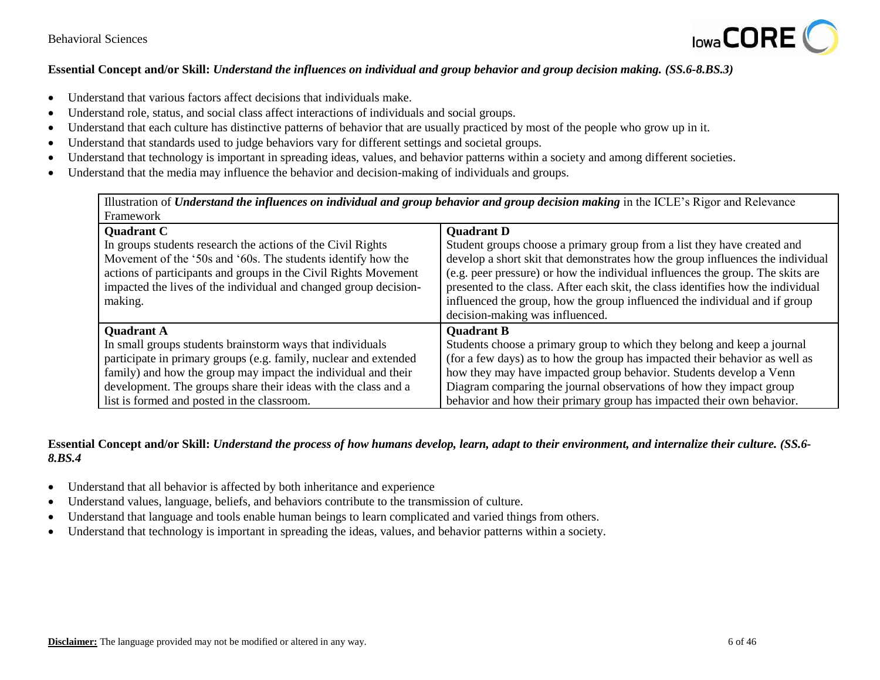

## **Essential Concept and/or Skill:** *Understand the influences on individual and group behavior and group decision making. (SS.6-8.BS.3)*

- Understand that various factors affect decisions that individuals make.
- Understand role, status, and social class affect interactions of individuals and social groups.
- Understand that each culture has distinctive patterns of behavior that are usually practiced by most of the people who grow up in it.
- Understand that standards used to judge behaviors vary for different settings and societal groups.
- Understand that technology is important in spreading ideas, values, and behavior patterns within a society and among different societies.
- Understand that the media may influence the behavior and decision-making of individuals and groups.

Illustration of *Understand the influences on individual and group behavior and group decision making* in the ICLE's Rigor and Relevance Framework

| <b>Quadrant C</b>                                                | <b>Quadrant D</b>                                                                |
|------------------------------------------------------------------|----------------------------------------------------------------------------------|
| In groups students research the actions of the Civil Rights      | Student groups choose a primary group from a list they have created and          |
| Movement of the '50s and '60s. The students identify how the     | develop a short skit that demonstrates how the group influences the individual   |
| actions of participants and groups in the Civil Rights Movement  | (e.g. peer pressure) or how the individual influences the group. The skits are   |
| impacted the lives of the individual and changed group decision- | presented to the class. After each skit, the class identifies how the individual |
| making.                                                          | influenced the group, how the group influenced the individual and if group       |
|                                                                  | decision-making was influenced.                                                  |
| <b>Quadrant A</b>                                                | <b>Quadrant B</b>                                                                |
| In small groups students brainstorm ways that individuals        | Students choose a primary group to which they belong and keep a journal          |
| participate in primary groups (e.g. family, nuclear and extended | (for a few days) as to how the group has impacted their behavior as well as      |
| family) and how the group may impact the individual and their    | how they may have impacted group behavior. Students develop a Venn               |
| development. The groups share their ideas with the class and a   | Diagram comparing the journal observations of how they impact group              |
| list is formed and posted in the classroom.                      | behavior and how their primary group has impacted their own behavior.            |

## **Essential Concept and/or Skill:** *Understand the process of how humans develop, learn, adapt to their environment, and internalize their culture. (SS.6- 8.BS.4*

- Understand that all behavior is affected by both inheritance and experience
- Understand values, language, beliefs, and behaviors contribute to the transmission of culture.
- Understand that language and tools enable human beings to learn complicated and varied things from others.
- Understand that technology is important in spreading the ideas, values, and behavior patterns within a society.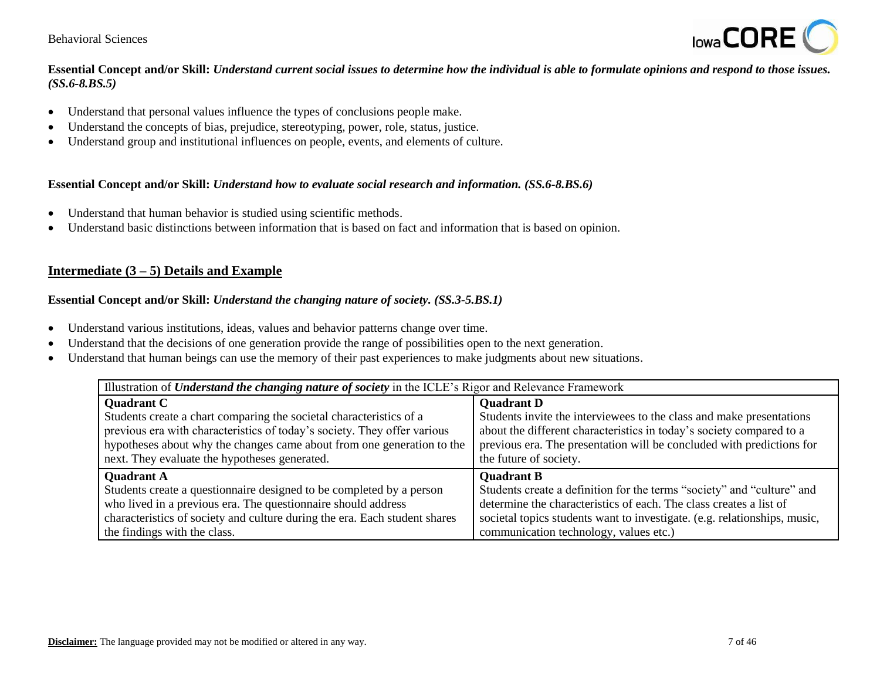#### Behavioral Sciences



## **Essential Concept and/or Skill:** *Understand current social issues to determine how the individual is able to formulate opinions and respond to those issues. (SS.6-8.BS.5)*

- Understand that personal values influence the types of conclusions people make.
- Understand the concepts of bias, prejudice, stereotyping, power, role, status, justice.
- Understand group and institutional influences on people, events, and elements of culture.

#### **Essential Concept and/or Skill:** *Understand how to evaluate social research and information. (SS.6-8.BS.6)*

- Understand that human behavior is studied using scientific methods.
- Understand basic distinctions between information that is based on fact and information that is based on opinion.

## **Intermediate (3 – 5) Details and Example**

#### **Essential Concept and/or Skill:** *Understand the changing nature of society. (SS.3-5.BS.1)*

- Understand various institutions, ideas, values and behavior patterns change over time.
- Understand that the decisions of one generation provide the range of possibilities open to the next generation.
- Understand that human beings can use the memory of their past experiences to make judgments about new situations.

| Illustration of <i>Understand the changing nature of society</i> in the ICLE's Rigor and Relevance Framework |                                                                           |
|--------------------------------------------------------------------------------------------------------------|---------------------------------------------------------------------------|
| <b>Quadrant C</b>                                                                                            | <b>Quadrant D</b>                                                         |
| Students create a chart comparing the societal characteristics of a                                          | Students invite the interviewees to the class and make presentations      |
| previous era with characteristics of today's society. They offer various                                     | about the different characteristics in today's society compared to a      |
| hypotheses about why the changes came about from one generation to the                                       | previous era. The presentation will be concluded with predictions for     |
| next. They evaluate the hypotheses generated.                                                                | the future of society.                                                    |
| <b>Quadrant A</b>                                                                                            | <b>Quadrant B</b>                                                         |
| Students create a questionnaire designed to be completed by a person                                         | Students create a definition for the terms "society" and "culture" and    |
| who lived in a previous era. The questionnaire should address                                                | determine the characteristics of each. The class creates a list of        |
| characteristics of society and culture during the era. Each student shares                                   | societal topics students want to investigate. (e.g. relationships, music, |
| the findings with the class.                                                                                 | communication technology, values etc.)                                    |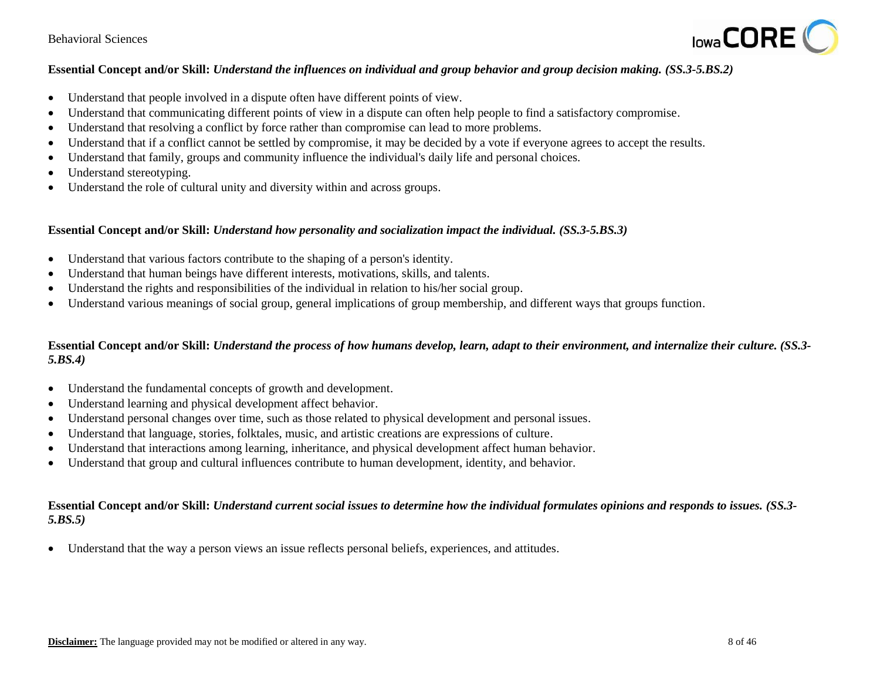

## **Essential Concept and/or Skill:** *Understand the influences on individual and group behavior and group decision making. (SS.3-5.BS.2)*

- Understand that people involved in a dispute often have different points of view.
- Understand that communicating different points of view in a dispute can often help people to find a satisfactory compromise.
- Understand that resolving a conflict by force rather than compromise can lead to more problems.
- Understand that if a conflict cannot be settled by compromise, it may be decided by a vote if everyone agrees to accept the results.
- Understand that family, groups and community influence the individual's daily life and personal choices.
- Understand stereotyping.
- Understand the role of cultural unity and diversity within and across groups.

#### **Essential Concept and/or Skill:** *Understand how personality and socialization impact the individual. (SS.3-5.BS.3)*

- Understand that various factors contribute to the shaping of a person's identity.
- Understand that human beings have different interests, motivations, skills, and talents.
- Understand the rights and responsibilities of the individual in relation to his/her social group.
- Understand various meanings of social group, general implications of group membership, and different ways that groups function.

## **Essential Concept and/or Skill:** *Understand the process of how humans develop, learn, adapt to their environment, and internalize their culture. (SS.3- 5.BS.4)*

- Understand the fundamental concepts of growth and development.
- Understand learning and physical development affect behavior.
- Understand personal changes over time, such as those related to physical development and personal issues.
- Understand that language, stories, folktales, music, and artistic creations are expressions of culture.
- Understand that interactions among learning, inheritance, and physical development affect human behavior.
- Understand that group and cultural influences contribute to human development, identity, and behavior.

#### **Essential Concept and/or Skill:** *Understand current social issues to determine how the individual formulates opinions and responds to issues. (SS.3-* 5.BS.5)

Understand that the way a person views an issue reflects personal beliefs, experiences, and attitudes.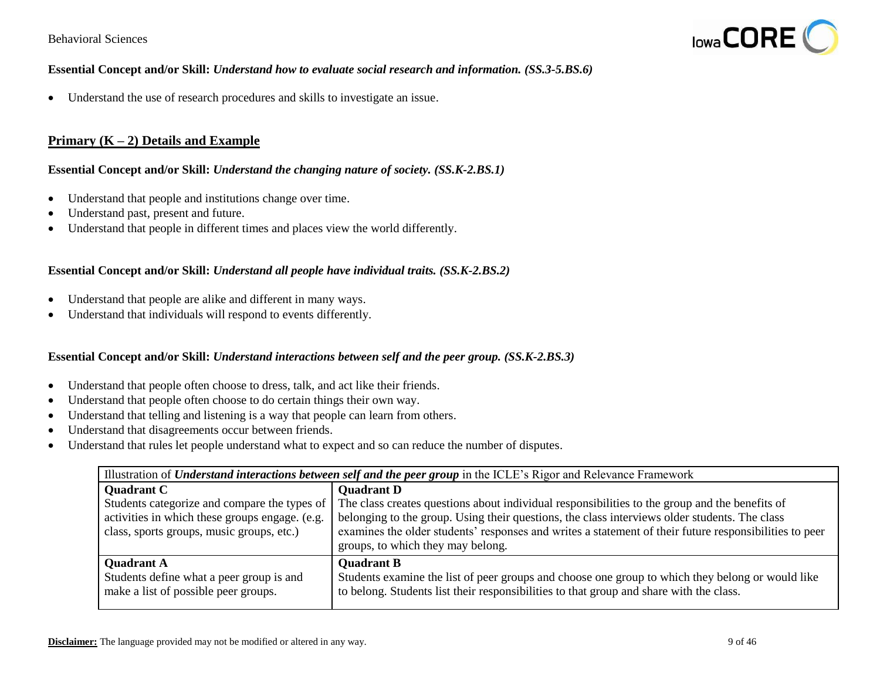

#### **Essential Concept and/or Skill:** *Understand how to evaluate social research and information. (SS.3-5.BS.6)*

Understand the use of research procedures and skills to investigate an issue.

## **Primary (K – 2) Details and Example**

#### **Essential Concept and/or Skill:** *Understand the changing nature of society. (SS.K-2.BS.1)*

- Understand that people and institutions change over time.
- Understand past, present and future.
- Understand that people in different times and places view the world differently.

#### **Essential Concept and/or Skill:** *Understand all people have individual traits. (SS.K-2.BS.2)*

- Understand that people are alike and different in many ways.
- Understand that individuals will respond to events differently.

## **Essential Concept and/or Skill:** *Understand interactions between self and the peer group. (SS.K-2.BS.3)*

- Understand that people often choose to dress, talk, and act like their friends.
- Understand that people often choose to do certain things their own way.
- Understand that telling and listening is a way that people can learn from others.
- Understand that disagreements occur between friends.
- Understand that rules let people understand what to expect and so can reduce the number of disputes.

| Illustration of <i>Understand interactions between self and the peer group</i> in the ICLE's Rigor and Relevance Framework |                                                                                                                                                                                                                                              |
|----------------------------------------------------------------------------------------------------------------------------|----------------------------------------------------------------------------------------------------------------------------------------------------------------------------------------------------------------------------------------------|
| <b>Quadrant C</b>                                                                                                          | <b>Quadrant D</b>                                                                                                                                                                                                                            |
| Students categorize and compare the types of                                                                               | The class creates questions about individual responsibilities to the group and the benefits of                                                                                                                                               |
| activities in which these groups engage. (e.g.<br>class, sports groups, music groups, etc.)                                | belonging to the group. Using their questions, the class interviews older students. The class<br>examines the older students' responses and writes a statement of their future responsibilities to peer<br>groups, to which they may belong. |
| <b>Quadrant A</b>                                                                                                          | <b>Quadrant B</b>                                                                                                                                                                                                                            |
| Students define what a peer group is and                                                                                   | Students examine the list of peer groups and choose one group to which they belong or would like                                                                                                                                             |
| make a list of possible peer groups.                                                                                       | to belong. Students list their responsibilities to that group and share with the class.                                                                                                                                                      |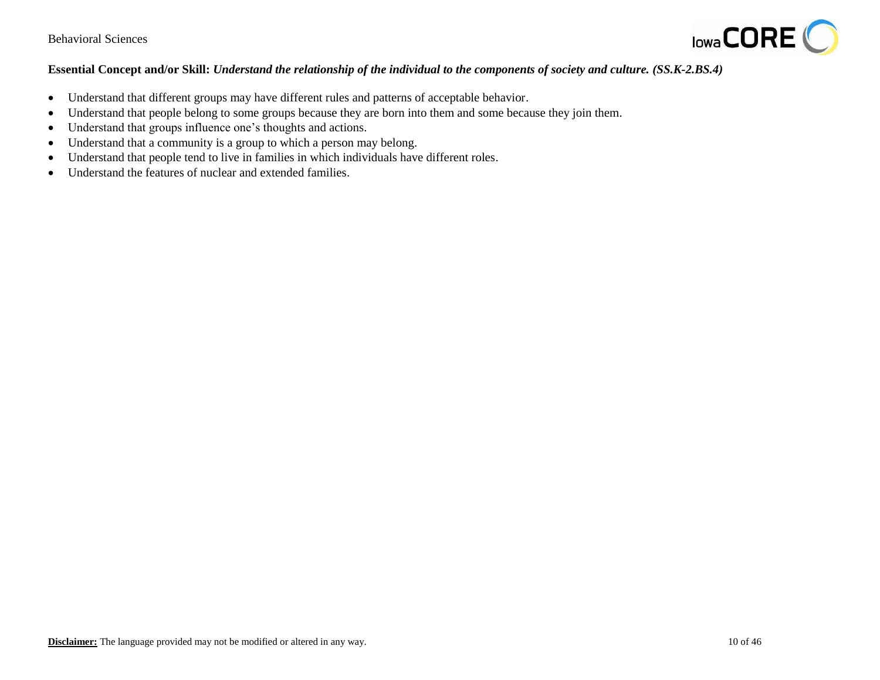

## **Essential Concept and/or Skill:** *Understand the relationship of the individual to the components of society and culture. (SS.K-2.BS.4)*

- Understand that different groups may have different rules and patterns of acceptable behavior.
- Understand that people belong to some groups because they are born into them and some because they join them.
- Understand that groups influence one's thoughts and actions.
- Understand that a community is a group to which a person may belong.
- Understand that people tend to live in families in which individuals have different roles.
- Understand the features of nuclear and extended families.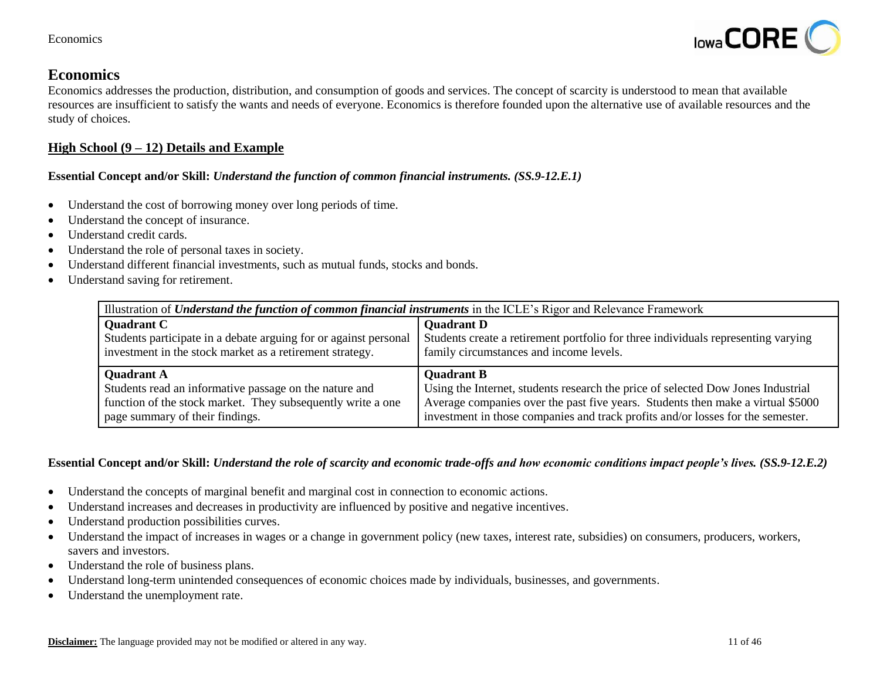

Economics addresses the production, distribution, and consumption of goods and services. The concept of scarcity is understood to mean that available resources are insufficient to satisfy the wants and needs of everyone. Economics is therefore founded upon the alternative use of available resources and the study of choices.

# **High School (9 – 12) Details and Example**

# **Essential Concept and/or Skill:** *Understand the function of common financial instruments. (SS.9-12.E.1)*

- Understand the cost of borrowing money over long periods of time.
- Understand the concept of insurance.
- Understand credit cards.
- Understand the role of personal taxes in society.
- Understand different financial investments, such as mutual funds, stocks and bonds.
- Understand saving for retirement.

| Illustration of <i>Understand the function of common financial instruments</i> in the ICLE's Rigor and Relevance Framework |                                                                                   |  |
|----------------------------------------------------------------------------------------------------------------------------|-----------------------------------------------------------------------------------|--|
| <b>Quadrant C</b>                                                                                                          | <b>Quadrant D</b>                                                                 |  |
| Students participate in a debate arguing for or against personal                                                           | Students create a retirement portfolio for three individuals representing varying |  |
| investment in the stock market as a retirement strategy.                                                                   | family circumstances and income levels.                                           |  |
| <b>Quadrant A</b>                                                                                                          | <b>Quadrant B</b>                                                                 |  |
| Students read an informative passage on the nature and                                                                     | Using the Internet, students research the price of selected Dow Jones Industrial  |  |
| function of the stock market. They subsequently write a one                                                                | Average companies over the past five years. Students then make a virtual \$5000   |  |
| page summary of their findings.                                                                                            | investment in those companies and track profits and/or losses for the semester.   |  |

## **Essential Concept and/or Skill:** *Understand the role of scarcity and economic trade-offs and how economic conditions impact people's lives. (SS.9-12.E.2)*

- Understand the concepts of marginal benefit and marginal cost in connection to economic actions.
- Understand increases and decreases in productivity are influenced by positive and negative incentives.
- Understand production possibilities curves.
- Understand the impact of increases in wages or a change in government policy (new taxes, interest rate, subsidies) on consumers, producers, workers, savers and investors.
- Understand the role of business plans.
- Understand long-term unintended consequences of economic choices made by individuals, businesses, and governments.
- Understand the unemployment rate.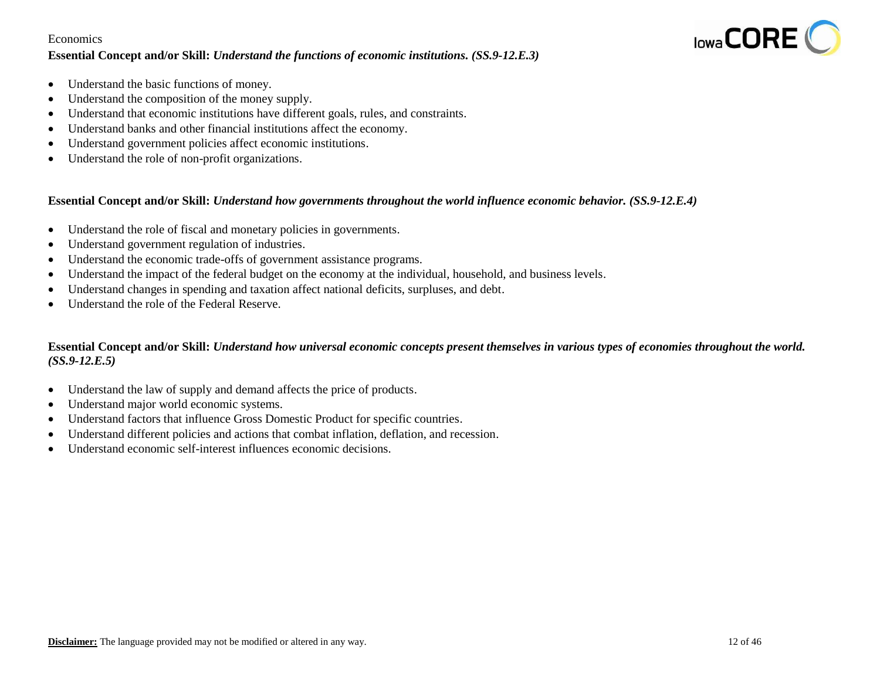#### **Essential Concept and/or Skill:** *Understand the functions of economic institutions. (SS.9-12.E.3)*



- Understand the basic functions of money.
- Understand the composition of the money supply.
- Understand that economic institutions have different goals, rules, and constraints.
- Understand banks and other financial institutions affect the economy.
- Understand government policies affect economic institutions.
- Understand the role of non-profit organizations.

#### **Essential Concept and/or Skill:** *Understand how governments throughout the world influence economic behavior. (SS.9-12.E.4)*

- Understand the role of fiscal and monetary policies in governments.
- Understand government regulation of industries.
- Understand the economic trade-offs of government assistance programs.
- Understand the impact of the federal budget on the economy at the individual, household, and business levels.
- Understand changes in spending and taxation affect national deficits, surpluses, and debt.
- Understand the role of the Federal Reserve.

#### **Essential Concept and/or Skill:** *Understand how universal economic concepts present themselves in various types of economies throughout the world. (SS.9-12.E.5)*

- Understand the law of supply and demand affects the price of products.
- Understand major world economic systems.
- Understand factors that influence Gross Domestic Product for specific countries.
- Understand different policies and actions that combat inflation, deflation, and recession.
- Understand economic self-interest influences economic decisions.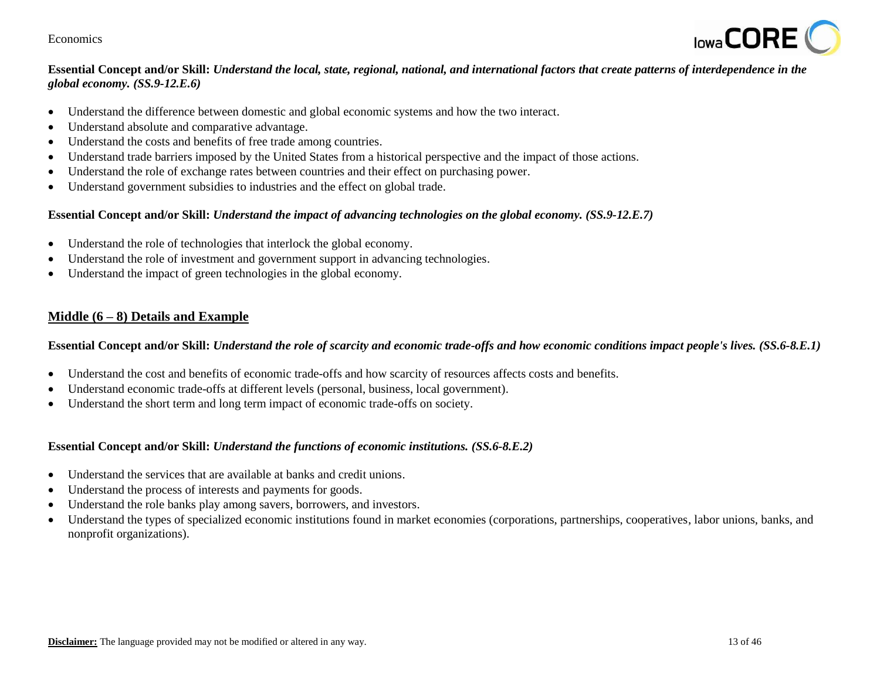

# **Essential Concept and/or Skill:** *Understand the local, state, regional, national, and international factors that create patterns of interdependence in the global economy. (SS.9-12.E.6)*

- Understand the difference between domestic and global economic systems and how the two interact.
- Understand absolute and comparative advantage.
- Understand the costs and benefits of free trade among countries.
- Understand trade barriers imposed by the United States from a historical perspective and the impact of those actions.
- Understand the role of exchange rates between countries and their effect on purchasing power.
- Understand government subsidies to industries and the effect on global trade.

#### **Essential Concept and/or Skill:** *Understand the impact of advancing technologies on the global economy. (SS.9-12.E.7)*

- Understand the role of technologies that interlock the global economy.
- Understand the role of investment and government support in advancing technologies.
- Understand the impact of green technologies in the global economy.

## **Middle (6 – 8) Details and Example**

**Essential Concept and/or Skill:** *Understand the role of scarcity and economic trade-offs and how economic conditions impact people's lives. (SS.6-8.E.1)*

- Understand the cost and benefits of economic trade-offs and how scarcity of resources affects costs and benefits.
- Understand economic trade-offs at different levels (personal, business, local government).
- Understand the short term and long term impact of economic trade-offs on society.

#### **Essential Concept and/or Skill:** *Understand the functions of economic institutions. (SS.6-8.E.2)*

- Understand the services that are available at banks and credit unions.
- Understand the process of interests and payments for goods.
- Understand the role banks play among savers, borrowers, and investors.
- Understand the types of specialized economic institutions found in market economies (corporations, partnerships, cooperatives, labor unions, banks, and nonprofit organizations).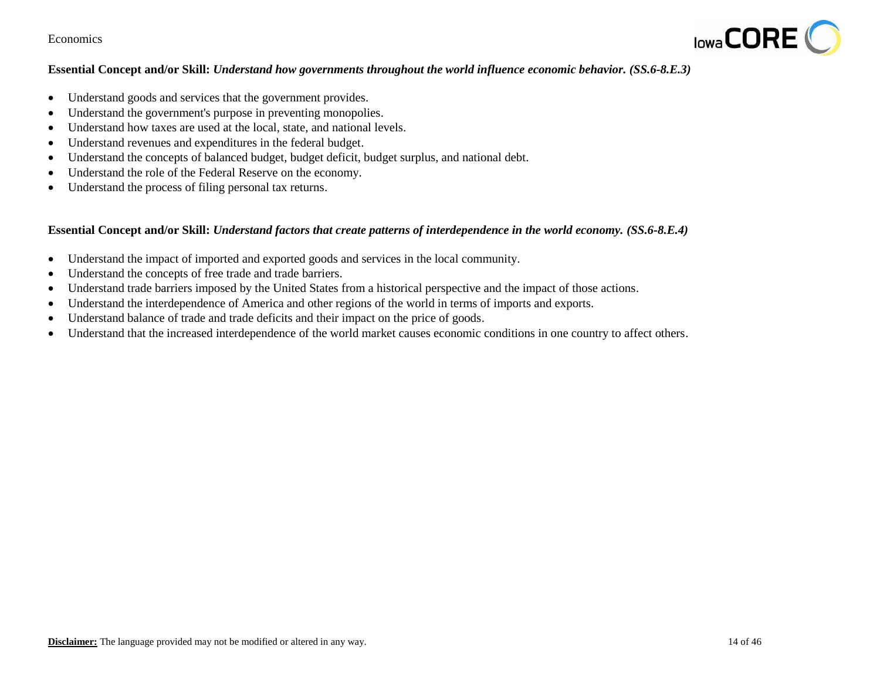

## **Essential Concept and/or Skill:** *Understand how governments throughout the world influence economic behavior. (SS.6-8.E.3)*

- Understand goods and services that the government provides.
- Understand the government's purpose in preventing monopolies.
- Understand how taxes are used at the local, state, and national levels.
- Understand revenues and expenditures in the federal budget.
- Understand the concepts of balanced budget, budget deficit, budget surplus, and national debt.
- Understand the role of the Federal Reserve on the economy.
- Understand the process of filing personal tax returns.

#### **Essential Concept and/or Skill:** *Understand factors that create patterns of interdependence in the world economy. (SS.6-8.E.4)*

- Understand the impact of imported and exported goods and services in the local community.
- Understand the concepts of free trade and trade barriers.
- Understand trade barriers imposed by the United States from a historical perspective and the impact of those actions.
- Understand the interdependence of America and other regions of the world in terms of imports and exports.
- Understand balance of trade and trade deficits and their impact on the price of goods.
- Understand that the increased interdependence of the world market causes economic conditions in one country to affect others.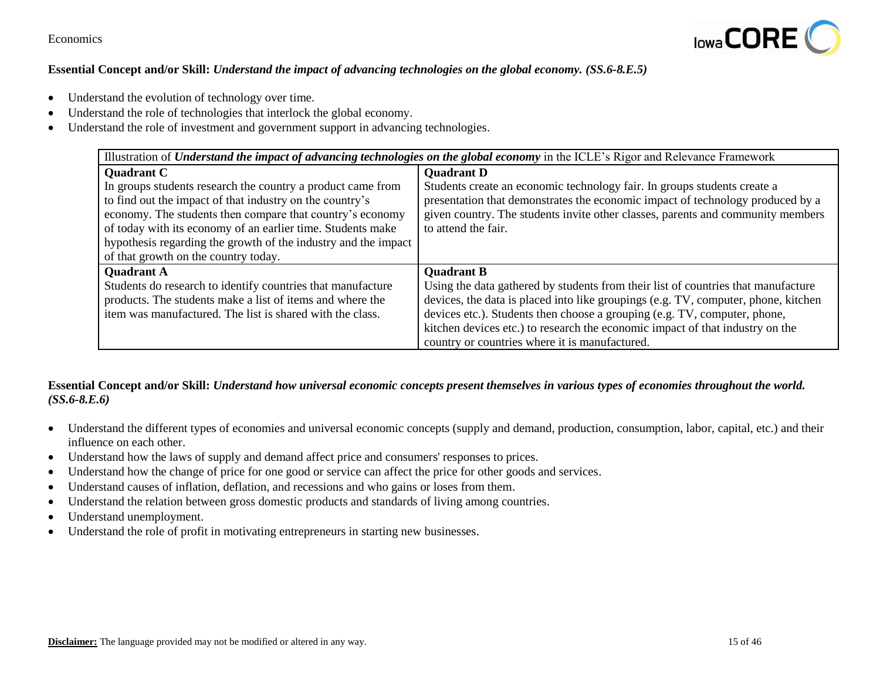

## **Essential Concept and/or Skill:** *Understand the impact of advancing technologies on the global economy. (SS.6-8.E.5)*

- Understand the evolution of technology over time.
- Understand the role of technologies that interlock the global economy.
- Understand the role of investment and government support in advancing technologies.

| Illustration of <i>Understand the impact of advancing technologies on the global economy</i> in the ICLE's Rigor and Relevance Framework |                                                                                    |
|------------------------------------------------------------------------------------------------------------------------------------------|------------------------------------------------------------------------------------|
| <b>Quadrant C</b>                                                                                                                        | <b>Quadrant D</b>                                                                  |
| In groups students research the country a product came from                                                                              | Students create an economic technology fair. In groups students create a           |
| to find out the impact of that industry on the country's                                                                                 | presentation that demonstrates the economic impact of technology produced by a     |
| economy. The students then compare that country's economy                                                                                | given country. The students invite other classes, parents and community members    |
| of today with its economy of an earlier time. Students make                                                                              | to attend the fair.                                                                |
| hypothesis regarding the growth of the industry and the impact                                                                           |                                                                                    |
| of that growth on the country today.                                                                                                     |                                                                                    |
| <b>Quadrant A</b>                                                                                                                        | <b>Quadrant B</b>                                                                  |
| Students do research to identify countries that manufacture                                                                              | Using the data gathered by students from their list of countries that manufacture  |
| products. The students make a list of items and where the                                                                                | devices, the data is placed into like groupings (e.g. TV, computer, phone, kitchen |
| item was manufactured. The list is shared with the class.                                                                                | devices etc.). Students then choose a grouping (e.g. TV, computer, phone,          |
|                                                                                                                                          | kitchen devices etc.) to research the economic impact of that industry on the      |
|                                                                                                                                          | country or countries where it is manufactured.                                     |

## **Essential Concept and/or Skill:** *Understand how universal economic concepts present themselves in various types of economies throughout the world. (SS.6-8.E.6)*

- Understand the different types of economies and universal economic concepts (supply and demand, production, consumption, labor, capital, etc.) and their influence on each other.
- Understand how the laws of supply and demand affect price and consumers' responses to prices.
- Understand how the change of price for one good or service can affect the price for other goods and services.
- Understand causes of inflation, deflation, and recessions and who gains or loses from them.
- Understand the relation between gross domestic products and standards of living among countries.
- Understand unemployment.
- Understand the role of profit in motivating entrepreneurs in starting new businesses.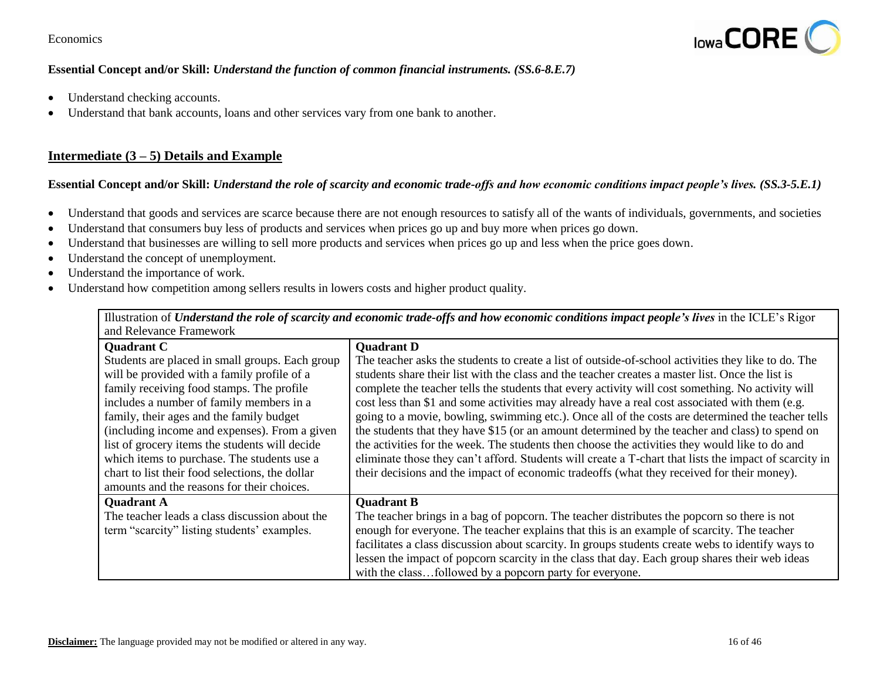

## **Essential Concept and/or Skill:** *Understand the function of common financial instruments. (SS.6-8.E.7)*

- Understand checking accounts.
- Understand that bank accounts, loans and other services vary from one bank to another.

# **Intermediate (3 – 5) Details and Example**

## **Essential Concept and/or Skill:** *Understand the role of scarcity and economic trade-offs and how economic conditions impact people's lives. (SS.3-5.E.1)*

- Understand that goods and services are scarce because there are not enough resources to satisfy all of the wants of individuals, governments, and societies
- Understand that consumers buy less of products and services when prices go up and buy more when prices go down.
- Understand that businesses are willing to sell more products and services when prices go up and less when the price goes down.
- Understand the concept of unemployment.
- Understand the importance of work.
- Understand how competition among sellers results in lowers costs and higher product quality.

Illustration of *Understand the role of scarcity and economic trade-offs and how economic conditions impact people's lives* in the ICLE's Rigor and Relevance Framework

| <b>Quadrant C</b>                               | <b>Quadrant D</b>                                                                                      |
|-------------------------------------------------|--------------------------------------------------------------------------------------------------------|
| Students are placed in small groups. Each group | The teacher asks the students to create a list of outside-of-school activities they like to do. The    |
| will be provided with a family profile of a     | students share their list with the class and the teacher creates a master list. Once the list is       |
| family receiving food stamps. The profile       | complete the teacher tells the students that every activity will cost something. No activity will      |
| includes a number of family members in a        | cost less than \$1 and some activities may already have a real cost associated with them (e.g.         |
| family, their ages and the family budget        | going to a movie, bowling, swimming etc.). Once all of the costs are determined the teacher tells      |
| (including income and expenses). From a given   | the students that they have \$15 (or an amount determined by the teacher and class) to spend on        |
| list of grocery items the students will decide  | the activities for the week. The students then choose the activities they would like to do and         |
| which items to purchase. The students use a     | eliminate those they can't afford. Students will create a T-chart that lists the impact of scarcity in |
| chart to list their food selections, the dollar | their decisions and the impact of economic tradeoffs (what they received for their money).             |
| amounts and the reasons for their choices.      |                                                                                                        |
| <b>Quadrant A</b>                               | <b>Quadrant B</b>                                                                                      |
| The teacher leads a class discussion about the  | The teacher brings in a bag of popcorn. The teacher distributes the popcorn so there is not            |
| term "scarcity" listing students' examples.     | enough for everyone. The teacher explains that this is an example of scarcity. The teacher             |
|                                                 | facilitates a class discussion about scarcity. In groups students create webs to identify ways to      |
|                                                 | lessen the impact of popcorn scarcity in the class that day. Each group shares their web ideas         |
|                                                 | with the classfollowed by a popcorn party for everyone.                                                |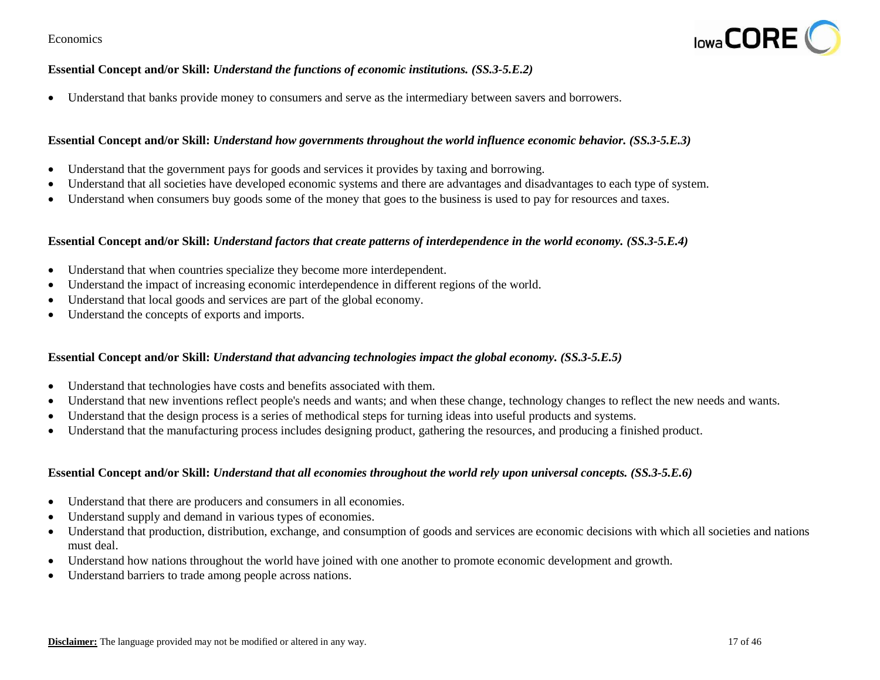

## **Essential Concept and/or Skill:** *Understand the functions of economic institutions. (SS.3-5.E.2)*

Understand that banks provide money to consumers and serve as the intermediary between savers and borrowers.

#### **Essential Concept and/or Skill:** *Understand how governments throughout the world influence economic behavior. (SS.3-5.E.3)*

- Understand that the government pays for goods and services it provides by taxing and borrowing.
- Understand that all societies have developed economic systems and there are advantages and disadvantages to each type of system.
- Understand when consumers buy goods some of the money that goes to the business is used to pay for resources and taxes.

#### **Essential Concept and/or Skill:** *Understand factors that create patterns of interdependence in the world economy. (SS.3-5.E.4)*

- Understand that when countries specialize they become more interdependent.
- Understand the impact of increasing economic interdependence in different regions of the world.
- Understand that local goods and services are part of the global economy.
- Understand the concepts of exports and imports.

#### **Essential Concept and/or Skill:** *Understand that advancing technologies impact the global economy. (SS.3-5.E.5)*

- Understand that technologies have costs and benefits associated with them.
- Understand that new inventions reflect people's needs and wants; and when these change, technology changes to reflect the new needs and wants.
- Understand that the design process is a series of methodical steps for turning ideas into useful products and systems.
- Understand that the manufacturing process includes designing product, gathering the resources, and producing a finished product.

#### **Essential Concept and/or Skill:** *Understand that all economies throughout the world rely upon universal concepts. (SS.3-5.E.6)*

- Understand that there are producers and consumers in all economies.
- Understand supply and demand in various types of economies.
- Understand that production, distribution, exchange, and consumption of goods and services are economic decisions with which all societies and nations must deal.
- Understand how nations throughout the world have joined with one another to promote economic development and growth.
- Understand barriers to trade among people across nations.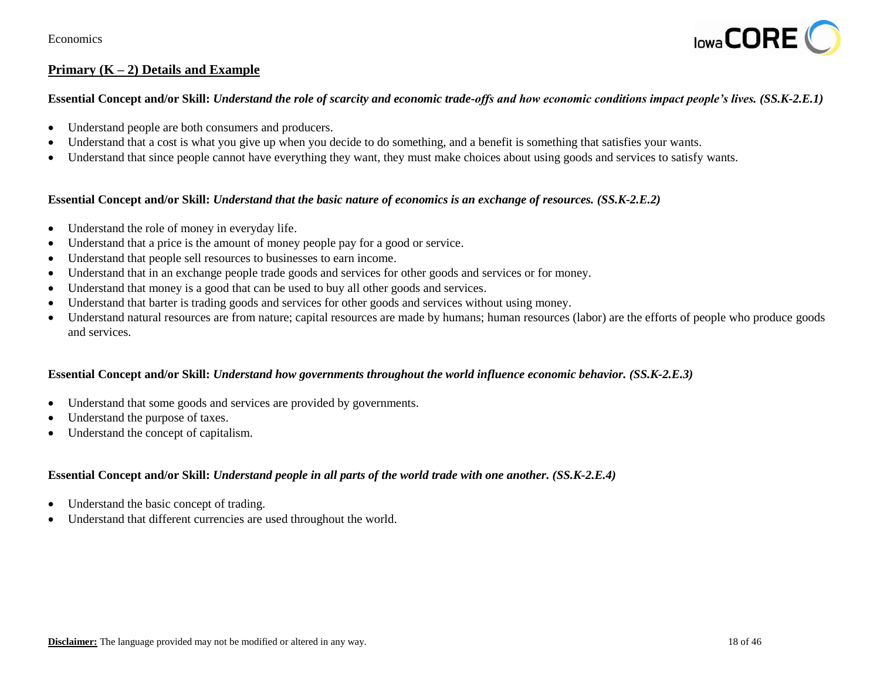

# **Primary (K – 2) Details and Example**

#### **Essential Concept and/or Skill:** *Understand the role of scarcity and economic trade-offs and how economic conditions impact people's lives. (SS.K-2.E.1)*

- Understand people are both consumers and producers.
- Understand that a cost is what you give up when you decide to do something, and a benefit is something that satisfies your wants.
- Understand that since people cannot have everything they want, they must make choices about using goods and services to satisfy wants.

#### **Essential Concept and/or Skill:** *Understand that the basic nature of economics is an exchange of resources. (SS.K-2.E.2)*

- Understand the role of money in everyday life.
- Understand that a price is the amount of money people pay for a good or service.
- Understand that people sell resources to businesses to earn income.
- Understand that in an exchange people trade goods and services for other goods and services or for money.
- Understand that money is a good that can be used to buy all other goods and services.
- Understand that barter is trading goods and services for other goods and services without using money.
- Understand natural resources are from nature; capital resources are made by humans; human resources (labor) are the efforts of people who produce goods and services.

#### **Essential Concept and/or Skill:** *Understand how governments throughout the world influence economic behavior. (SS.K-2.E.3)*

- Understand that some goods and services are provided by governments.
- Understand the purpose of taxes.
- Understand the concept of capitalism.

#### **Essential Concept and/or Skill:** *Understand people in all parts of the world trade with one another. (SS.K-2.E.4)*

- Understand the basic concept of trading.
- Understand that different currencies are used throughout the world.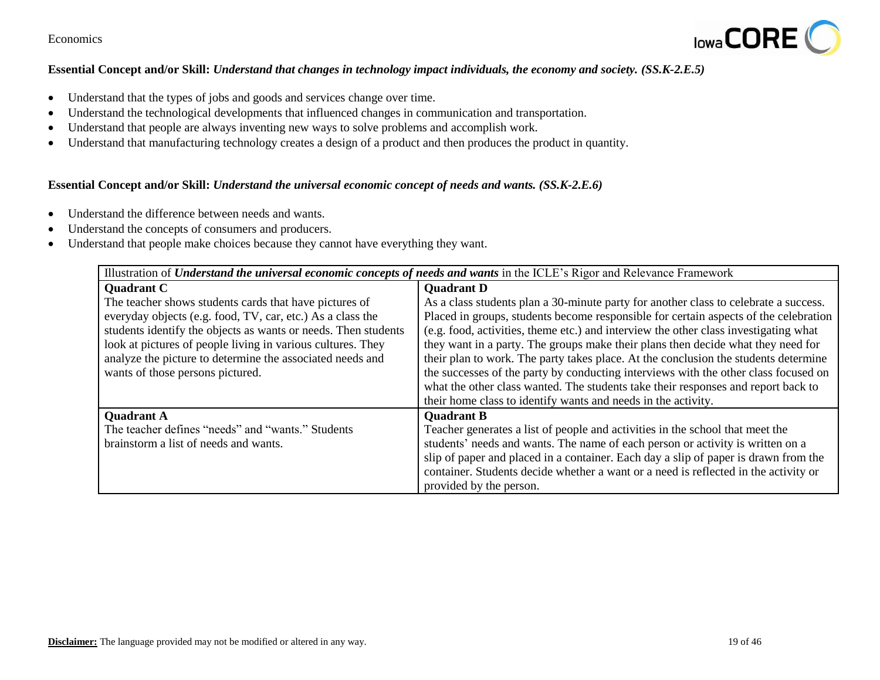

## **Essential Concept and/or Skill:** *Understand that changes in technology impact individuals, the economy and society. (SS.K-2.E.5)*

- Understand that the types of jobs and goods and services change over time.
- Understand the technological developments that influenced changes in communication and transportation.
- Understand that people are always inventing new ways to solve problems and accomplish work.
- Understand that manufacturing technology creates a design of a product and then produces the product in quantity.

#### **Essential Concept and/or Skill:** *Understand the universal economic concept of needs and wants. (SS.K-2.E.6)*

- Understand the difference between needs and wants.
- Understand the concepts of consumers and producers.
- Understand that people make choices because they cannot have everything they want.

| Illustration of <i>Understand the universal economic concepts of needs and wants</i> in the ICLE's Rigor and Relevance Framework |                                                                                      |
|----------------------------------------------------------------------------------------------------------------------------------|--------------------------------------------------------------------------------------|
| <b>Quadrant C</b>                                                                                                                | <b>Ouadrant D</b>                                                                    |
| The teacher shows students cards that have pictures of                                                                           | As a class students plan a 30-minute party for another class to celebrate a success. |
| everyday objects (e.g. food, TV, car, etc.) As a class the                                                                       | Placed in groups, students become responsible for certain aspects of the celebration |
| students identify the objects as wants or needs. Then students                                                                   | (e.g. food, activities, theme etc.) and interview the other class investigating what |
| look at pictures of people living in various cultures. They                                                                      | they want in a party. The groups make their plans then decide what they need for     |
| analyze the picture to determine the associated needs and                                                                        | their plan to work. The party takes place. At the conclusion the students determine  |
| wants of those persons pictured.                                                                                                 | the successes of the party by conducting interviews with the other class focused on  |
|                                                                                                                                  | what the other class wanted. The students take their responses and report back to    |
|                                                                                                                                  | their home class to identify wants and needs in the activity.                        |
| <b>Quadrant A</b>                                                                                                                | <b>Quadrant B</b>                                                                    |
| The teacher defines "needs" and "wants." Students                                                                                | Teacher generates a list of people and activities in the school that meet the        |
| brainstorm a list of needs and wants.                                                                                            | students' needs and wants. The name of each person or activity is written on a       |
|                                                                                                                                  | slip of paper and placed in a container. Each day a slip of paper is drawn from the  |
|                                                                                                                                  | container. Students decide whether a want or a need is reflected in the activity or  |
|                                                                                                                                  | provided by the person.                                                              |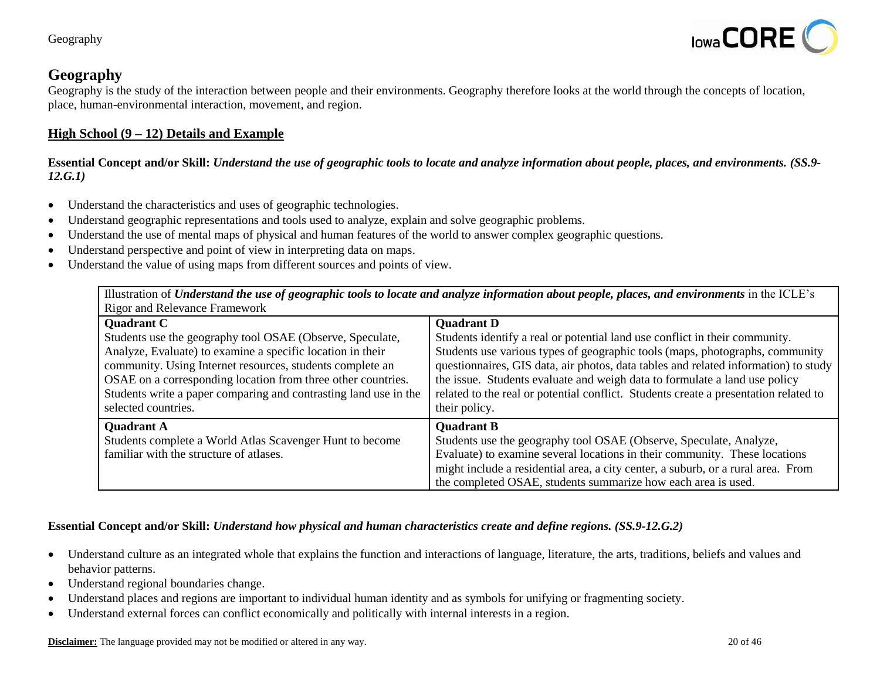

# **Geography**

Geography is the study of the interaction between people and their environments. Geography therefore looks at the world through the concepts of location, place, human-environmental interaction, movement, and region.

## **High School (9 – 12) Details and Example**

**Essential Concept and/or Skill:** *Understand the use of geographic tools to locate and analyze information about people, places, and environments. (SS.9- 12.G.1)*

- Understand the characteristics and uses of geographic technologies.
- Understand geographic representations and tools used to analyze, explain and solve geographic problems.
- Understand the use of mental maps of physical and human features of the world to answer complex geographic questions.
- Understand perspective and point of view in interpreting data on maps.
- Understand the value of using maps from different sources and points of view.

Illustration of *Understand the use of geographic tools to locate and analyze information about people, places, and environments in the ICLE's* Rigor and Relevance Framework

| <b>Quadrant C</b>                                                | <b>Quadrant D</b>                                                                    |
|------------------------------------------------------------------|--------------------------------------------------------------------------------------|
| Students use the geography tool OSAE (Observe, Speculate,        | Students identify a real or potential land use conflict in their community.          |
| Analyze, Evaluate) to examine a specific location in their       | Students use various types of geographic tools (maps, photographs, community         |
| community. Using Internet resources, students complete an        | questionnaires, GIS data, air photos, data tables and related information) to study  |
| OSAE on a corresponding location from three other countries.     | the issue. Students evaluate and weigh data to formulate a land use policy           |
| Students write a paper comparing and contrasting land use in the | related to the real or potential conflict. Students create a presentation related to |
| selected countries.                                              | their policy.                                                                        |
| <b>Quadrant A</b>                                                | <b>Quadrant B</b>                                                                    |
| Students complete a World Atlas Scavenger Hunt to become         | Students use the geography tool OSAE (Observe, Speculate, Analyze,                   |
| familiar with the structure of atlases.                          | Evaluate) to examine several locations in their community. These locations           |
|                                                                  | might include a residential area, a city center, a suburb, or a rural area. From     |
|                                                                  | the completed OSAE, students summarize how each area is used.                        |

## **Essential Concept and/or Skill:** *Understand how physical and human characteristics create and define regions. (SS.9-12.G.2)*

- Understand culture as an integrated whole that explains the function and interactions of language, literature, the arts, traditions, beliefs and values and behavior patterns.
- Understand regional boundaries change.
- Understand places and regions are important to individual human identity and as symbols for unifying or fragmenting society.
- Understand external forces can conflict economically and politically with internal interests in a region.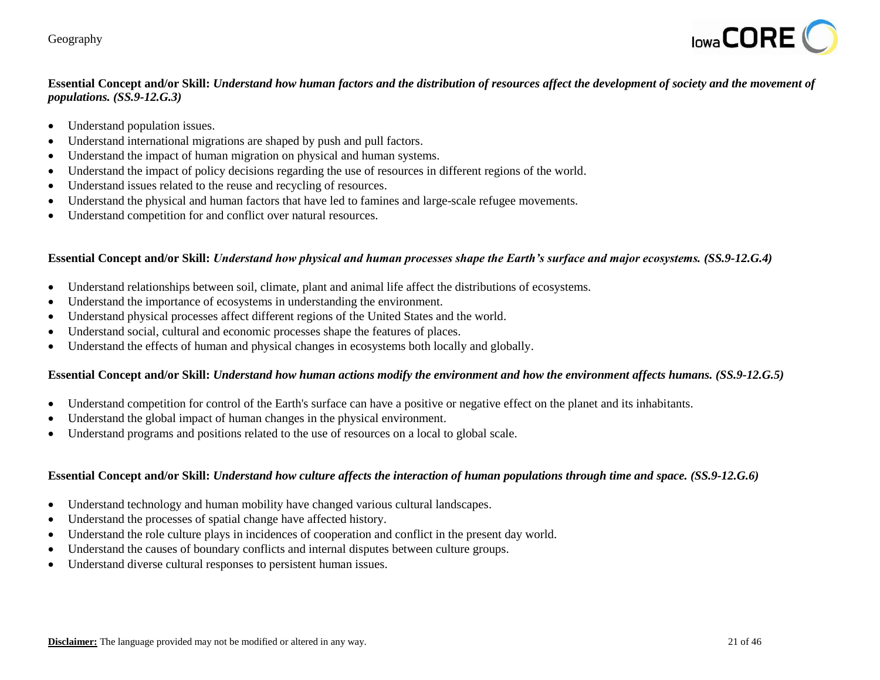

# **Essential Concept and/or Skill:** *Understand how human factors and the distribution of resources affect the development of society and the movement of populations. (SS.9-12.G.3)*

- Understand population issues.
- Understand international migrations are shaped by push and pull factors.
- Understand the impact of human migration on physical and human systems.
- Understand the impact of policy decisions regarding the use of resources in different regions of the world.
- Understand issues related to the reuse and recycling of resources.
- Understand the physical and human factors that have led to famines and large-scale refugee movements.
- Understand competition for and conflict over natural resources.

#### **Essential Concept and/or Skill:** *Understand how physical and human processes shape the Earth's surface and major ecosystems. (SS.9-12.G.4)*

- Understand relationships between soil, climate, plant and animal life affect the distributions of ecosystems.
- Understand the importance of ecosystems in understanding the environment.
- Understand physical processes affect different regions of the United States and the world.
- Understand social, cultural and economic processes shape the features of places.
- Understand the effects of human and physical changes in ecosystems both locally and globally.

#### **Essential Concept and/or Skill:** *Understand how human actions modify the environment and how the environment affects humans. (SS.9-12.G.5)*

- Understand competition for control of the Earth's surface can have a positive or negative effect on the planet and its inhabitants.
- Understand the global impact of human changes in the physical environment.
- Understand programs and positions related to the use of resources on a local to global scale.

## **Essential Concept and/or Skill:** *Understand how culture affects the interaction of human populations through time and space. (SS.9-12.G.6)*

- Understand technology and human mobility have changed various cultural landscapes.
- Understand the processes of spatial change have affected history.
- Understand the role culture plays in incidences of cooperation and conflict in the present day world.
- Understand the causes of boundary conflicts and internal disputes between culture groups.
- Understand diverse cultural responses to persistent human issues.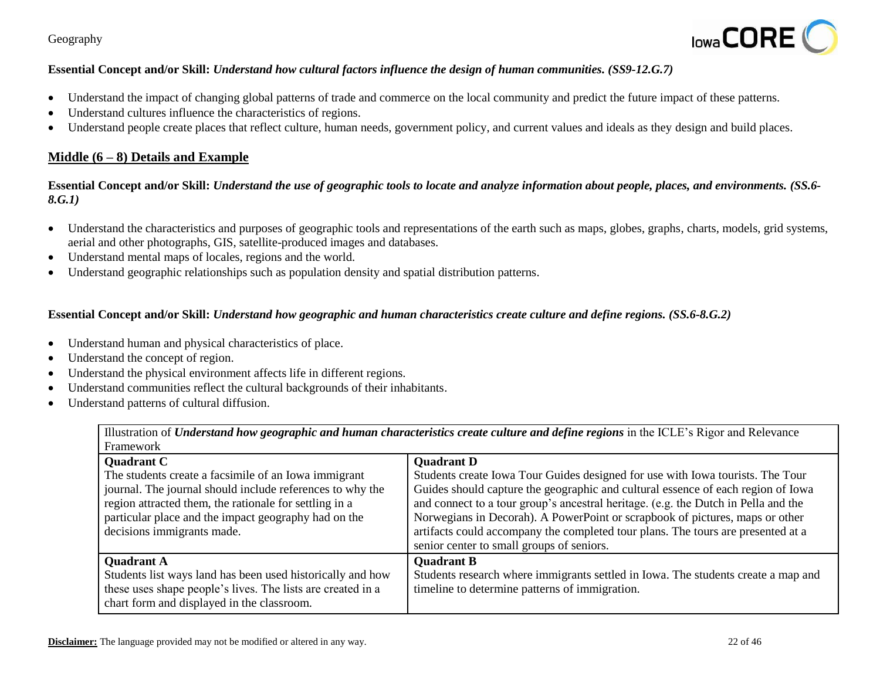

## **Essential Concept and/or Skill:** *Understand how cultural factors influence the design of human communities. (SS9-12.G.7)*

- Understand the impact of changing global patterns of trade and commerce on the local community and predict the future impact of these patterns.
- Understand cultures influence the characteristics of regions.
- Understand people create places that reflect culture, human needs, government policy, and current values and ideals as they design and build places.

# **Middle (6 – 8) Details and Example**

**Essential Concept and/or Skill:** *Understand the use of geographic tools to locate and analyze information about people, places, and environments. (SS.6- 8.G.1)*

- Understand the characteristics and purposes of geographic tools and representations of the earth such as maps, globes, graphs, charts, models, grid systems, aerial and other photographs, GIS, satellite-produced images and databases.
- Understand mental maps of locales, regions and the world.
- Understand geographic relationships such as population density and spatial distribution patterns.

## **Essential Concept and/or Skill:** *Understand how geographic and human characteristics create culture and define regions. (SS.6-8.G.2)*

- Understand human and physical characteristics of place.
- Understand the concept of region.
- Understand the physical environment affects life in different regions.
- Understand communities reflect the cultural backgrounds of their inhabitants.
- Understand patterns of cultural diffusion.

| Illustration of <i>Understand how geographic and human characteristics create culture and define regions</i> in the ICLE's Rigor and Relevance |  |
|------------------------------------------------------------------------------------------------------------------------------------------------|--|
| Framework                                                                                                                                      |  |

| .                                                           |                                                                                    |
|-------------------------------------------------------------|------------------------------------------------------------------------------------|
| <b>Quadrant C</b>                                           | <b>Quadrant D</b>                                                                  |
| The students create a facsimile of an Iowa immigrant        | Students create Iowa Tour Guides designed for use with Iowa tourists. The Tour     |
| journal. The journal should include references to why the   | Guides should capture the geographic and cultural essence of each region of Iowa   |
| region attracted them, the rationale for settling in a      | and connect to a tour group's ancestral heritage. (e.g. the Dutch in Pella and the |
| particular place and the impact geography had on the        | Norwegians in Decorah). A PowerPoint or scrapbook of pictures, maps or other       |
| decisions immigrants made.                                  | artifacts could accompany the completed tour plans. The tours are presented at a   |
|                                                             | senior center to small groups of seniors.                                          |
| <b>Quadrant A</b>                                           | <b>Quadrant B</b>                                                                  |
| Students list ways land has been used historically and how  | Students research where immigrants settled in Iowa. The students create a map and  |
| these uses shape people's lives. The lists are created in a | timeline to determine patterns of immigration.                                     |
| chart form and displayed in the classroom.                  |                                                                                    |
|                                                             |                                                                                    |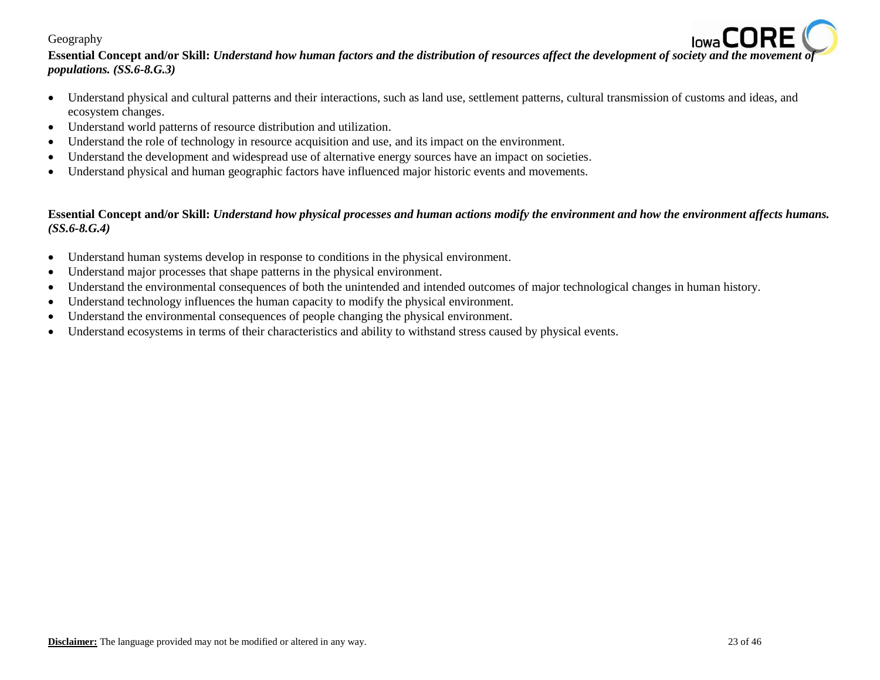

- Understand physical and cultural patterns and their interactions, such as land use, settlement patterns, cultural transmission of customs and ideas, and ecosystem changes.
- Understand world patterns of resource distribution and utilization.
- Understand the role of technology in resource acquisition and use, and its impact on the environment.
- Understand the development and widespread use of alternative energy sources have an impact on societies.
- Understand physical and human geographic factors have influenced major historic events and movements.

# **Essential Concept and/or Skill:** *Understand how physical processes and human actions modify the environment and how the environment affects humans. (SS.6-8.G.4)*

- Understand human systems develop in response to conditions in the physical environment.
- Understand major processes that shape patterns in the physical environment.
- Understand the environmental consequences of both the unintended and intended outcomes of major technological changes in human history.
- Understand technology influences the human capacity to modify the physical environment.
- Understand the environmental consequences of people changing the physical environment.
- Understand ecosystems in terms of their characteristics and ability to withstand stress caused by physical events.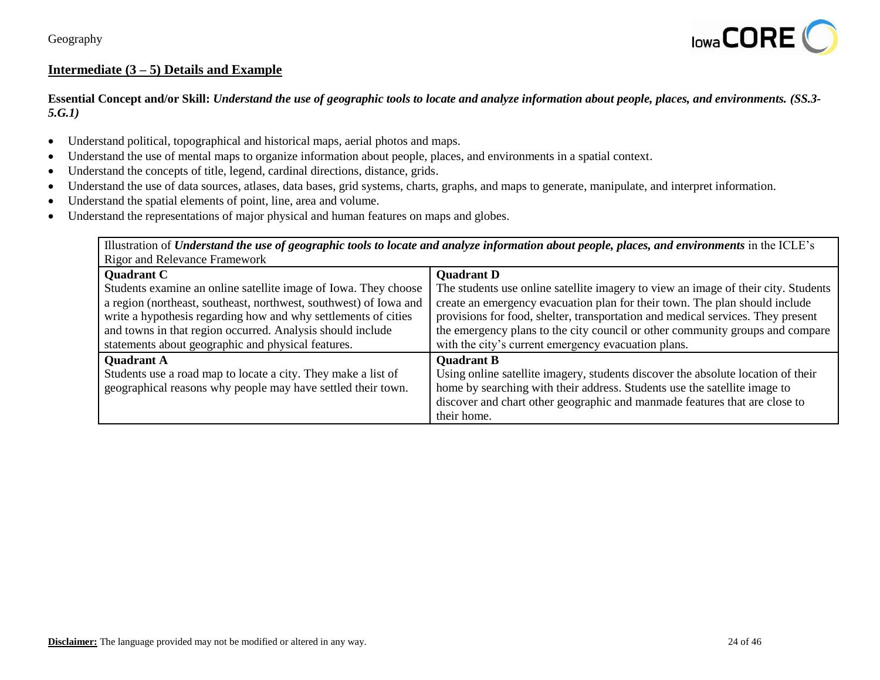

# Intermediate  $(3 - 5)$  Details and Example

**Essential Concept and/or Skill:** *Understand the use of geographic tools to locate and analyze information about people, places, and environments. (SS.3- 5.G.1)*

- Understand political, topographical and historical maps, aerial photos and maps.
- Understand the use of mental maps to organize information about people, places, and environments in a spatial context.
- Understand the concepts of title, legend, cardinal directions, distance, grids.
- Understand the use of data sources, atlases, data bases, grid systems, charts, graphs, and maps to generate, manipulate, and interpret information.
- Understand the spatial elements of point, line, area and volume.
- Understand the representations of major physical and human features on maps and globes.

Illustration of *Understand the use of geographic tools to locate and analyze information about people, places, and environments in the ICLE's* Rigor and Relevance Framework

| <b>Quadrant C</b>                                                 | <b>Quadrant D</b>                                                                  |
|-------------------------------------------------------------------|------------------------------------------------------------------------------------|
| Students examine an online satellite image of Iowa. They choose   | The students use online satellite imagery to view an image of their city. Students |
| a region (northeast, southeast, northwest, southwest) of Iowa and | create an emergency evacuation plan for their town. The plan should include        |
| write a hypothesis regarding how and why settlements of cities    | provisions for food, shelter, transportation and medical services. They present    |
| and towns in that region occurred. Analysis should include        | the emergency plans to the city council or other community groups and compare      |
| statements about geographic and physical features.                | with the city's current emergency evacuation plans.                                |
| <b>Quadrant A</b>                                                 | <b>Quadrant B</b>                                                                  |
| Students use a road map to locate a city. They make a list of     | Using online satellite imagery, students discover the absolute location of their   |
| geographical reasons why people may have settled their town.      | home by searching with their address. Students use the satellite image to          |
|                                                                   | discover and chart other geographic and manmade features that are close to         |
|                                                                   | their home.                                                                        |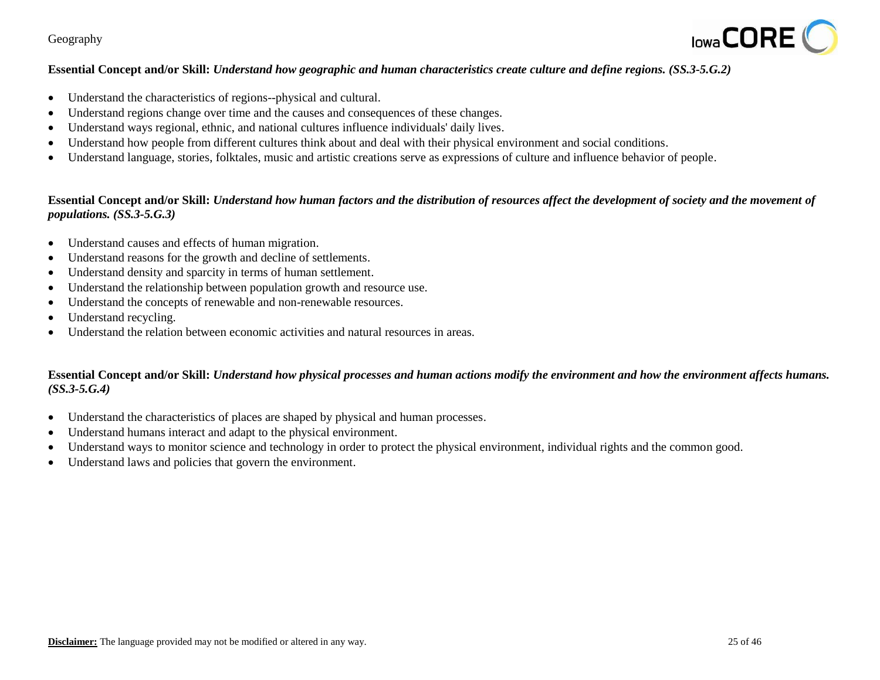

## **Essential Concept and/or Skill:** *Understand how geographic and human characteristics create culture and define regions. (SS.3-5.G.2)*

- Understand the characteristics of regions--physical and cultural.
- Understand regions change over time and the causes and consequences of these changes.
- Understand ways regional, ethnic, and national cultures influence individuals' daily lives.
- Understand how people from different cultures think about and deal with their physical environment and social conditions.
- Understand language, stories, folktales, music and artistic creations serve as expressions of culture and influence behavior of people.

## **Essential Concept and/or Skill:** *Understand how human factors and the distribution of resources affect the development of society and the movement of populations. (SS.3-5.G.3)*

- Understand causes and effects of human migration.
- Understand reasons for the growth and decline of settlements.
- Understand density and sparcity in terms of human settlement.
- Understand the relationship between population growth and resource use.
- Understand the concepts of renewable and non-renewable resources.
- Understand recycling.
- Understand the relation between economic activities and natural resources in areas.

## **Essential Concept and/or Skill:** *Understand how physical processes and human actions modify the environment and how the environment affects humans. (SS.3-5.G.4)*

- Understand the characteristics of places are shaped by physical and human processes.
- Understand humans interact and adapt to the physical environment.
- Understand ways to monitor science and technology in order to protect the physical environment, individual rights and the common good.
- Understand laws and policies that govern the environment.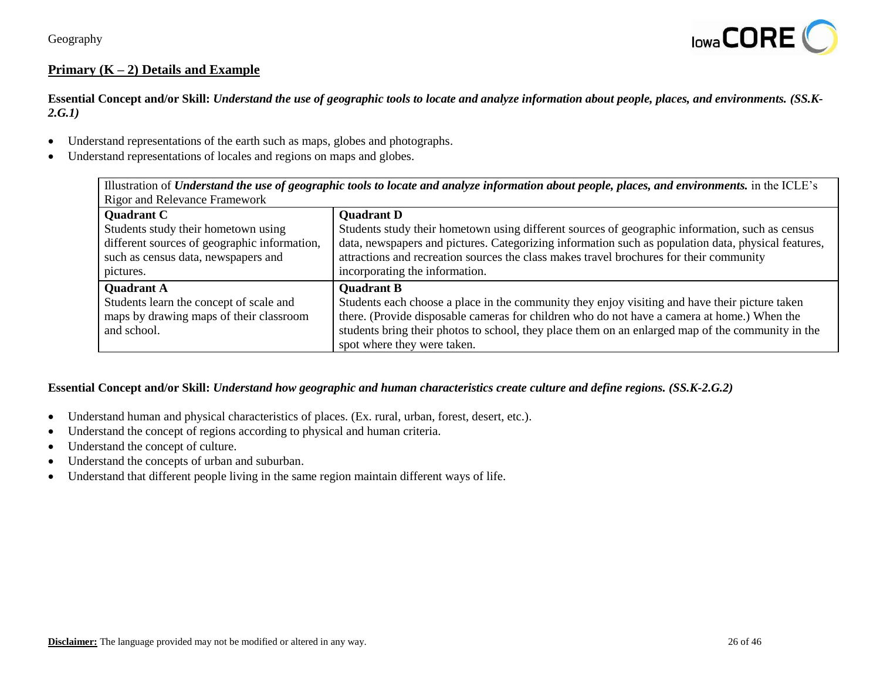

# **Primary (K – 2) Details and Example**

**Essential Concept and/or Skill:** *Understand the use of geographic tools to locate and analyze information about people, places, and environments. (SS.K-2.G.1)*

- Understand representations of the earth such as maps, globes and photographs.
- Understand representations of locales and regions on maps and globes.

|                                              | Illustration of Understand the use of geographic tools to locate and analyze information about people, places, and environments. in the ICLE's |
|----------------------------------------------|------------------------------------------------------------------------------------------------------------------------------------------------|
| <b>Rigor and Relevance Framework</b>         |                                                                                                                                                |
| <b>Quadrant C</b>                            | <b>Quadrant D</b>                                                                                                                              |
| Students study their hometown using          | Students study their hometown using different sources of geographic information, such as census                                                |
| different sources of geographic information, | data, newspapers and pictures. Categorizing information such as population data, physical features,                                            |
| such as census data, newspapers and          | attractions and recreation sources the class makes travel brochures for their community                                                        |
| pictures.                                    | incorporating the information.                                                                                                                 |
| <b>Ouadrant A</b>                            | <b>Ouadrant B</b>                                                                                                                              |
| Students learn the concept of scale and      | Students each choose a place in the community they enjoy visiting and have their picture taken                                                 |
| maps by drawing maps of their classroom      | there. (Provide disposable cameras for children who do not have a camera at home.) When the                                                    |
| and school.                                  | students bring their photos to school, they place them on an enlarged map of the community in the                                              |
|                                              | spot where they were taken.                                                                                                                    |

#### **Essential Concept and/or Skill:** *Understand how geographic and human characteristics create culture and define regions. (SS.K-2.G.2)*

- Understand human and physical characteristics of places. (Ex. rural, urban, forest, desert, etc.).
- Understand the concept of regions according to physical and human criteria.
- Understand the concept of culture.
- Understand the concepts of urban and suburban.
- Understand that different people living in the same region maintain different ways of life.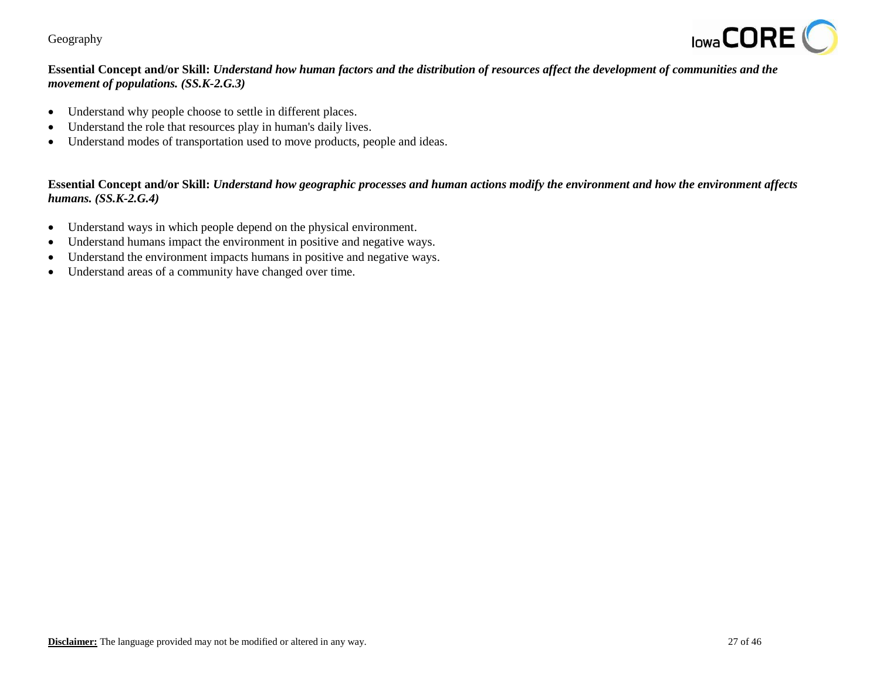

# **Essential Concept and/or Skill:** *Understand how human factors and the distribution of resources affect the development of communities and the movement of populations. (SS.K-2.G.3)*

- Understand why people choose to settle in different places.
- Understand the role that resources play in human's daily lives.
- Understand modes of transportation used to move products, people and ideas.

## **Essential Concept and/or Skill:** *Understand how geographic processes and human actions modify the environment and how the environment affects humans. (SS.K-2.G.4)*

- Understand ways in which people depend on the physical environment.
- Understand humans impact the environment in positive and negative ways.
- Understand the environment impacts humans in positive and negative ways.
- Understand areas of a community have changed over time.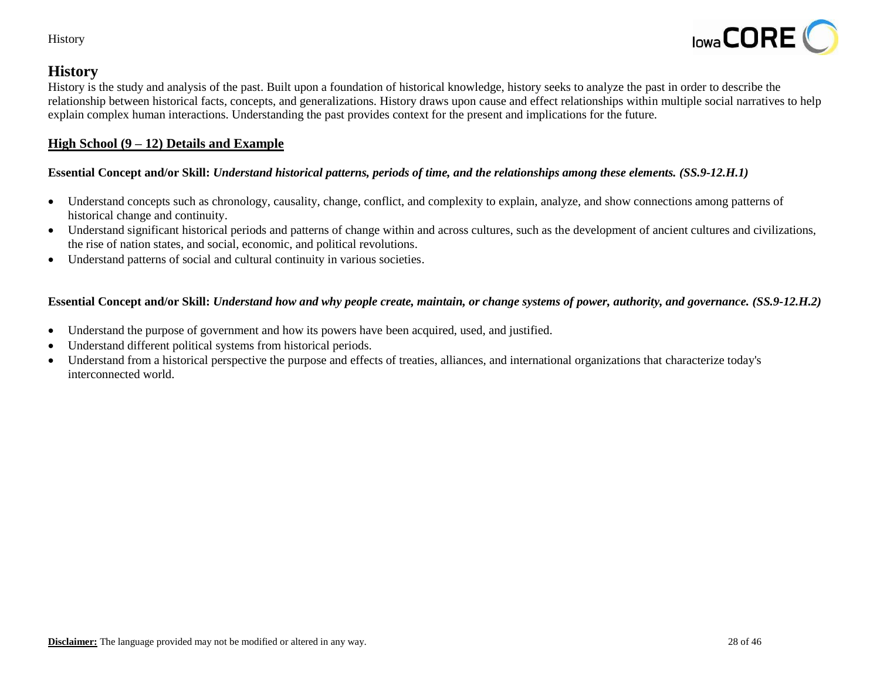

# **History**

History is the study and analysis of the past. Built upon a foundation of historical knowledge, history seeks to analyze the past in order to describe the relationship between historical facts, concepts, and generalizations. History draws upon cause and effect relationships within multiple social narratives to help explain complex human interactions. Understanding the past provides context for the present and implications for the future.

# **High School (9 – 12) Details and Example**

# **Essential Concept and/or Skill:** *Understand historical patterns, periods of time, and the relationships among these elements. (SS.9-12.H.1)*

- Understand concepts such as chronology, causality, change, conflict, and complexity to explain, analyze, and show connections among patterns of historical change and continuity.
- Understand significant historical periods and patterns of change within and across cultures, such as the development of ancient cultures and civilizations, the rise of nation states, and social, economic, and political revolutions.
- Understand patterns of social and cultural continuity in various societies.

# **Essential Concept and/or Skill:** *Understand how and why people create, maintain, or change systems of power, authority, and governance. (SS.9-12.H.2)*

- Understand the purpose of government and how its powers have been acquired, used, and justified.
- Understand different political systems from historical periods.
- Understand from a historical perspective the purpose and effects of treaties, alliances, and international organizations that characterize today's interconnected world.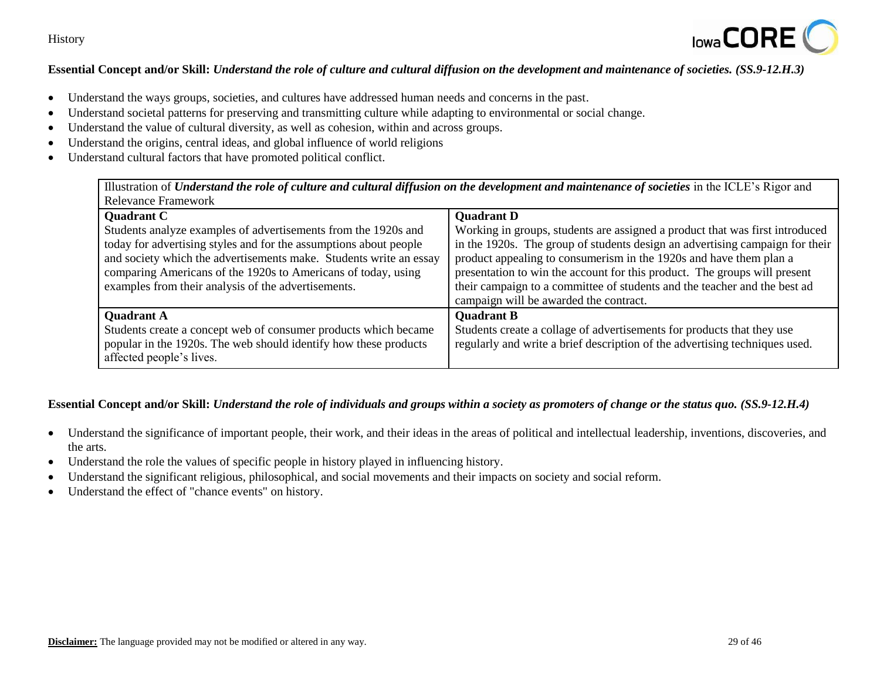

## **Essential Concept and/or Skill:** *Understand the role of culture and cultural diffusion on the development and maintenance of societies. (SS.9-12.H.3)*

- Understand the ways groups, societies, and cultures have addressed human needs and concerns in the past.
- Understand societal patterns for preserving and transmitting culture while adapting to environmental or social change.
- Understand the value of cultural diversity, as well as cohesion, within and across groups.
- Understand the origins, central ideas, and global influence of world religions
- Understand cultural factors that have promoted political conflict.

| Illustration of Understand the role of culture and cultural diffusion on the development and maintenance of societies in the ICLE's Rigor and |                                                                              |  |
|-----------------------------------------------------------------------------------------------------------------------------------------------|------------------------------------------------------------------------------|--|
| <b>Relevance Framework</b>                                                                                                                    |                                                                              |  |
| <b>Quadrant C</b>                                                                                                                             | <b>Quadrant D</b>                                                            |  |
| Students analyze examples of advertisements from the 1920s and                                                                                | Working in groups, students are assigned a product that was first introduced |  |
| today for advertising styles and for the assumptions about people                                                                             | in the 1920s. The group of students design an advertising campaign for their |  |
| and society which the advertisements make. Students write an essay                                                                            | product appealing to consumerism in the 1920s and have them plan a           |  |
| comparing Americans of the 1920s to Americans of today, using                                                                                 | presentation to win the account for this product. The groups will present    |  |
| examples from their analysis of the advertisements.                                                                                           | their campaign to a committee of students and the teacher and the best ad    |  |
|                                                                                                                                               | campaign will be awarded the contract.                                       |  |
| <b>Quadrant A</b>                                                                                                                             | <b>Quadrant B</b>                                                            |  |
| Students create a concept web of consumer products which became                                                                               | Students create a collage of advertisements for products that they use       |  |
| popular in the 1920s. The web should identify how these products                                                                              | regularly and write a brief description of the advertising techniques used.  |  |
| affected people's lives.                                                                                                                      |                                                                              |  |

## **Essential Concept and/or Skill:** *Understand the role of individuals and groups within a society as promoters of change or the status quo. (SS.9-12.H.4)*

- Understand the significance of important people, their work, and their ideas in the areas of political and intellectual leadership, inventions, discoveries, and the arts.
- Understand the role the values of specific people in history played in influencing history.
- Understand the significant religious, philosophical, and social movements and their impacts on society and social reform.
- Understand the effect of "chance events" on history.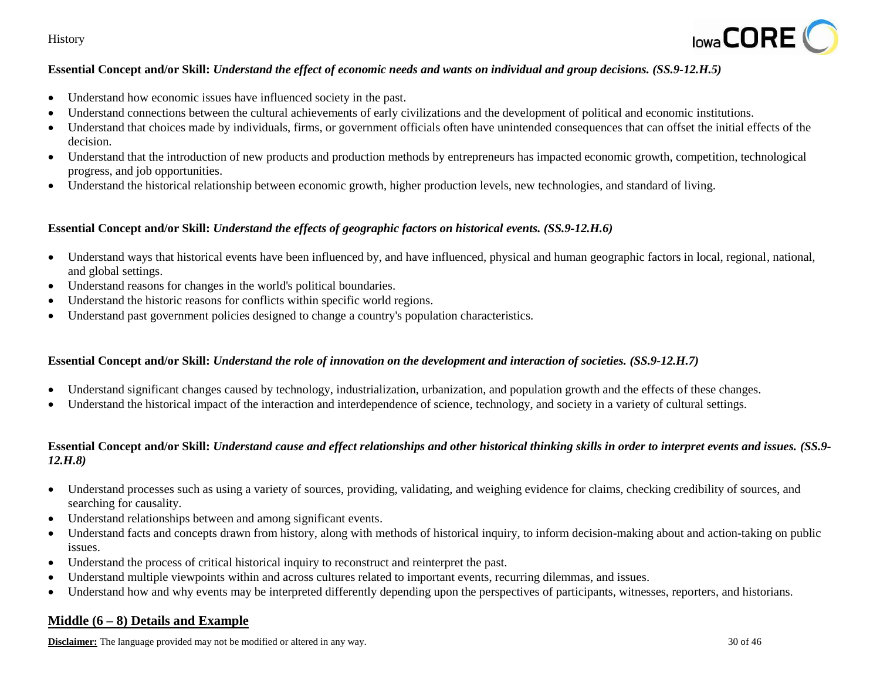

## **Essential Concept and/or Skill:** *Understand the effect of economic needs and wants on individual and group decisions. (SS.9-12.H.5)*

- Understand how economic issues have influenced society in the past.
- Understand connections between the cultural achievements of early civilizations and the development of political and economic institutions.
- Understand that choices made by individuals, firms, or government officials often have unintended consequences that can offset the initial effects of the decision.
- Understand that the introduction of new products and production methods by entrepreneurs has impacted economic growth, competition, technological progress, and job opportunities.
- Understand the historical relationship between economic growth, higher production levels, new technologies, and standard of living.

#### **Essential Concept and/or Skill:** *Understand the effects of geographic factors on historical events. (SS.9-12.H.6)*

- Understand ways that historical events have been influenced by, and have influenced, physical and human geographic factors in local, regional, national, and global settings.
- Understand reasons for changes in the world's political boundaries.
- Understand the historic reasons for conflicts within specific world regions.
- Understand past government policies designed to change a country's population characteristics.

#### **Essential Concept and/or Skill:** *Understand the role of innovation on the development and interaction of societies. (SS.9-12.H.7)*

- Understand significant changes caused by technology, industrialization, urbanization, and population growth and the effects of these changes.
- Understand the historical impact of the interaction and interdependence of science, technology, and society in a variety of cultural settings.

## **Essential Concept and/or Skill:** *Understand cause and effect relationships and other historical thinking skills in order to interpret events and issues. (SS.9- 12.H.8)*

- Understand processes such as using a variety of sources, providing, validating, and weighing evidence for claims, checking credibility of sources, and searching for causality.
- Understand relationships between and among significant events.
- Understand facts and concepts drawn from history, along with methods of historical inquiry, to inform decision-making about and action-taking on public issues.
- Understand the process of critical historical inquiry to reconstruct and reinterpret the past.
- Understand multiple viewpoints within and across cultures related to important events, recurring dilemmas, and issues.
- Understand how and why events may be interpreted differently depending upon the perspectives of participants, witnesses, reporters, and historians.

## **Middle (6 – 8) Details and Example**

**Disclaimer:** The language provided may not be modified or altered in any way. 30 of 46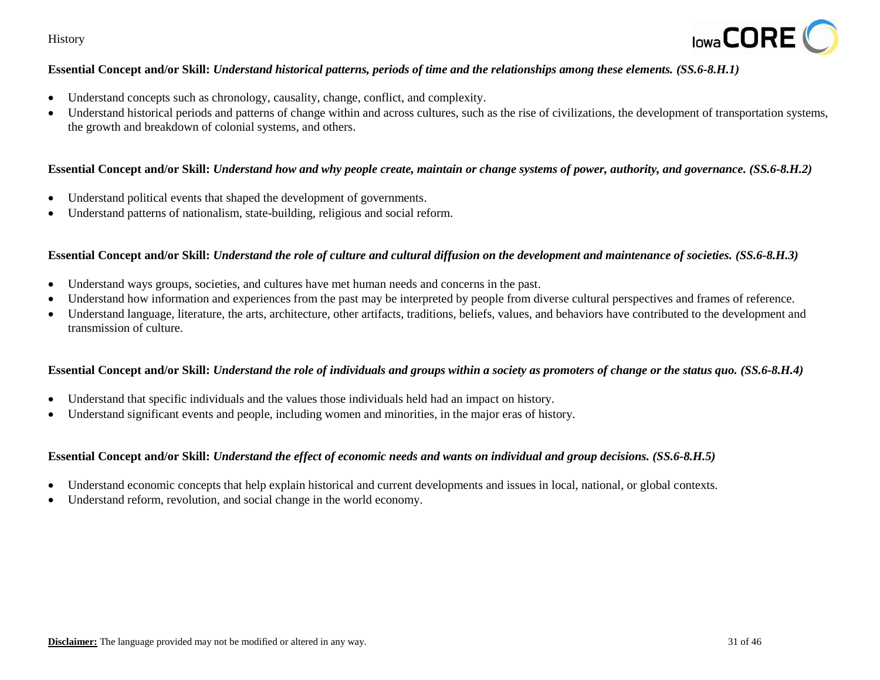

## **Essential Concept and/or Skill:** *Understand historical patterns, periods of time and the relationships among these elements. (SS.6-8.H.1)*

- Understand concepts such as chronology, causality, change, conflict, and complexity.
- Understand historical periods and patterns of change within and across cultures, such as the rise of civilizations, the development of transportation systems, the growth and breakdown of colonial systems, and others.

## **Essential Concept and/or Skill:** *Understand how and why people create, maintain or change systems of power, authority, and governance. (SS.6-8.H.2)*

- Understand political events that shaped the development of governments.
- Understand patterns of nationalism, state-building, religious and social reform.

## **Essential Concept and/or Skill:** *Understand the role of culture and cultural diffusion on the development and maintenance of societies. (SS.6-8.H.3)*

- Understand ways groups, societies, and cultures have met human needs and concerns in the past.
- Understand how information and experiences from the past may be interpreted by people from diverse cultural perspectives and frames of reference.
- Understand language, literature, the arts, architecture, other artifacts, traditions, beliefs, values, and behaviors have contributed to the development and transmission of culture.

#### **Essential Concept and/or Skill:** *Understand the role of individuals and groups within a society as promoters of change or the status quo. (SS.6-8.H.4)*

- Understand that specific individuals and the values those individuals held had an impact on history.
- Understand significant events and people, including women and minorities, in the major eras of history.

## **Essential Concept and/or Skill:** *Understand the effect of economic needs and wants on individual and group decisions. (SS.6-8.H.5)*

- Understand economic concepts that help explain historical and current developments and issues in local, national, or global contexts.
- Understand reform, revolution, and social change in the world economy.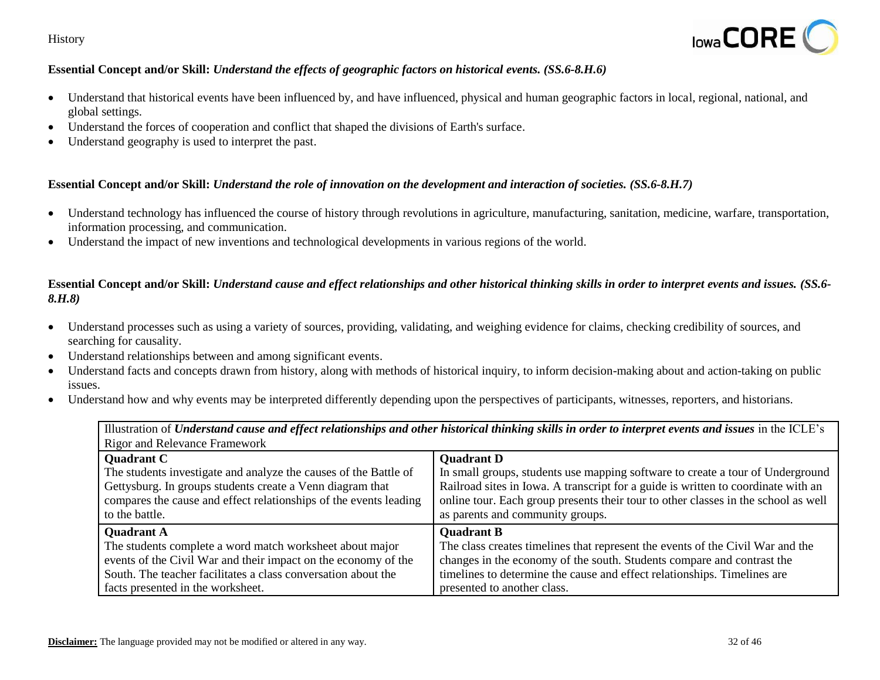

# **Essential Concept and/or Skill:** *Understand the effects of geographic factors on historical events. (SS.6-8.H.6)*

- Understand that historical events have been influenced by, and have influenced, physical and human geographic factors in local, regional, national, and global settings.
- Understand the forces of cooperation and conflict that shaped the divisions of Earth's surface.
- Understand geography is used to interpret the past.

## **Essential Concept and/or Skill:** *Understand the role of innovation on the development and interaction of societies. (SS.6-8.H.7)*

- Understand technology has influenced the course of history through revolutions in agriculture, manufacturing, sanitation, medicine, warfare, transportation, information processing, and communication.
- Understand the impact of new inventions and technological developments in various regions of the world.

## **Essential Concept and/or Skill:** *Understand cause and effect relationships and other historical thinking skills in order to interpret events and issues. (SS.6- 8.H.8)*

- Understand processes such as using a variety of sources, providing, validating, and weighing evidence for claims, checking credibility of sources, and searching for causality.
- Understand relationships between and among significant events.
- Understand facts and concepts drawn from history, along with methods of historical inquiry, to inform decision-making about and action-taking on public issues.
- Understand how and why events may be interpreted differently depending upon the perspectives of participants, witnesses, reporters, and historians.

| Illustration of Understand cause and effect relationships and other historical thinking skills in order to interpret events and issues in the ICLE's |                                                                                    |  |
|------------------------------------------------------------------------------------------------------------------------------------------------------|------------------------------------------------------------------------------------|--|
| <b>Rigor and Relevance Framework</b>                                                                                                                 |                                                                                    |  |
| <b>Quadrant C</b>                                                                                                                                    | <b>Quadrant D</b>                                                                  |  |
| The students investigate and analyze the causes of the Battle of                                                                                     | In small groups, students use mapping software to create a tour of Underground     |  |
| Gettysburg. In groups students create a Venn diagram that                                                                                            | Railroad sites in Iowa. A transcript for a guide is written to coordinate with an  |  |
| compares the cause and effect relationships of the events leading                                                                                    | online tour. Each group presents their tour to other classes in the school as well |  |
| to the battle.                                                                                                                                       | as parents and community groups.                                                   |  |
| <b>Quadrant A</b>                                                                                                                                    | <b>Ouadrant B</b>                                                                  |  |
| The students complete a word match worksheet about major                                                                                             | The class creates timelines that represent the events of the Civil War and the     |  |
| events of the Civil War and their impact on the economy of the                                                                                       | changes in the economy of the south. Students compare and contrast the             |  |
| South. The teacher facilitates a class conversation about the                                                                                        | timelines to determine the cause and effect relationships. Timelines are           |  |
| facts presented in the worksheet.                                                                                                                    | presented to another class.                                                        |  |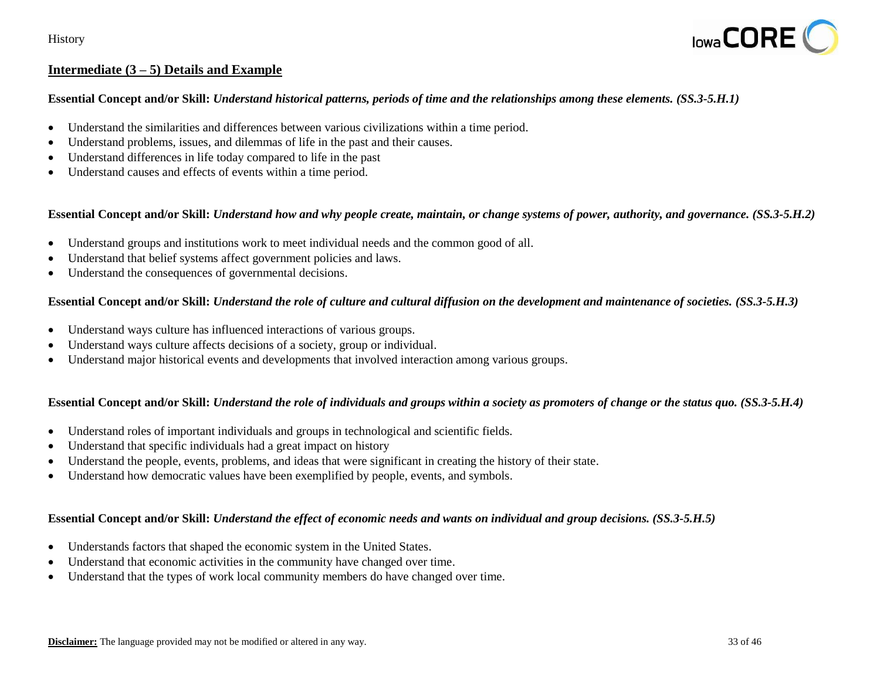

# **Intermediate (3 – 5) Details and Example**

#### **Essential Concept and/or Skill:** *Understand historical patterns, periods of time and the relationships among these elements. (SS.3-5.H.1)*

- Understand the similarities and differences between various civilizations within a time period.
- Understand problems, issues, and dilemmas of life in the past and their causes.
- Understand differences in life today compared to life in the past
- Understand causes and effects of events within a time period.

#### **Essential Concept and/or Skill:** *Understand how and why people create, maintain, or change systems of power, authority, and governance. (SS.3-5.H.2)*

- Understand groups and institutions work to meet individual needs and the common good of all.
- Understand that belief systems affect government policies and laws.
- Understand the consequences of governmental decisions.

# **Essential Concept and/or Skill:** *Understand the role of culture and cultural diffusion on the development and maintenance of societies. (SS.3-5.H.3)*

- Understand ways culture has influenced interactions of various groups.
- Understand ways culture affects decisions of a society, group or individual.
- Understand major historical events and developments that involved interaction among various groups.

#### **Essential Concept and/or Skill:** *Understand the role of individuals and groups within a society as promoters of change or the status quo. (SS.3-5.H.4)*

- Understand roles of important individuals and groups in technological and scientific fields.
- Understand that specific individuals had a great impact on history
- Understand the people, events, problems, and ideas that were significant in creating the history of their state.
- Understand how democratic values have been exemplified by people, events, and symbols.

#### **Essential Concept and/or Skill:** *Understand the effect of economic needs and wants on individual and group decisions. (SS.3-5.H.5)*

- Understands factors that shaped the economic system in the United States.
- Understand that economic activities in the community have changed over time.
- Understand that the types of work local community members do have changed over time.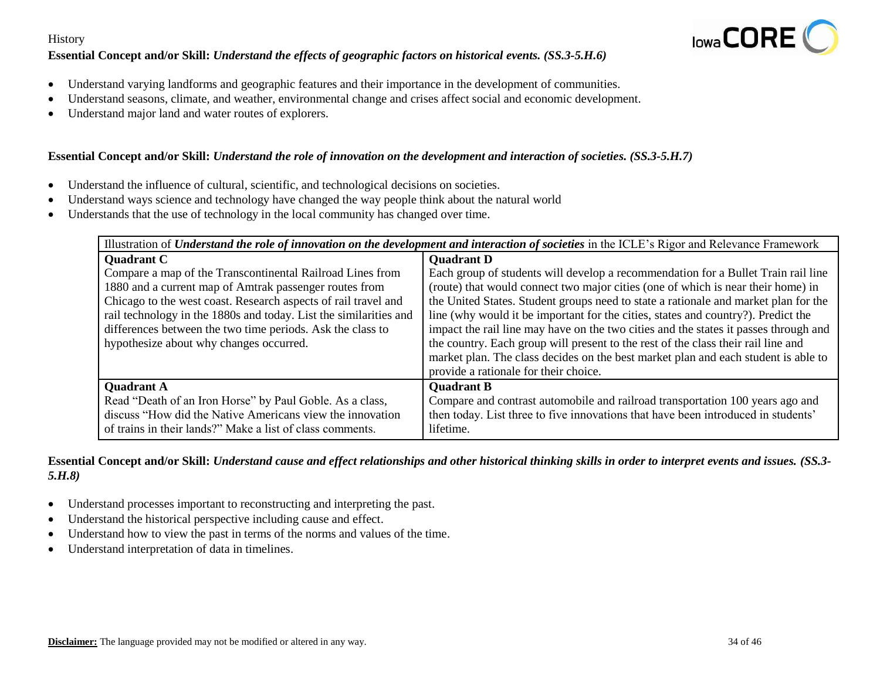## **Essential Concept and/or Skill:** *Understand the effects of geographic factors on historical events. (SS.3-5.H.6)*



- Understand varying landforms and geographic features and their importance in the development of communities.
- Understand seasons, climate, and weather, environmental change and crises affect social and economic development.
- Understand major land and water routes of explorers.

## **Essential Concept and/or Skill:** *Understand the role of innovation on the development and interaction of societies. (SS.3-5.H.7)*

- Understand the influence of cultural, scientific, and technological decisions on societies.
- Understand ways science and technology have changed the way people think about the natural world
- Understands that the use of technology in the local community has changed over time.

| Illustration of Understand the role of innovation on the development and interaction of societies in the ICLE's Rigor and Relevance Framework |                                                                                      |
|-----------------------------------------------------------------------------------------------------------------------------------------------|--------------------------------------------------------------------------------------|
| <b>Ouadrant C</b>                                                                                                                             | <b>Quadrant D</b>                                                                    |
| Compare a map of the Transcontinental Railroad Lines from                                                                                     | Each group of students will develop a recommendation for a Bullet Train rail line    |
| 1880 and a current map of Amtrak passenger routes from                                                                                        | (route) that would connect two major cities (one of which is near their home) in     |
| Chicago to the west coast. Research aspects of rail travel and                                                                                | the United States. Student groups need to state a rationale and market plan for the  |
| rail technology in the 1880s and today. List the similarities and                                                                             | line (why would it be important for the cities, states and country?). Predict the    |
| differences between the two time periods. Ask the class to                                                                                    | impact the rail line may have on the two cities and the states it passes through and |
| hypothesize about why changes occurred.                                                                                                       | the country. Each group will present to the rest of the class their rail line and    |
|                                                                                                                                               | market plan. The class decides on the best market plan and each student is able to   |
|                                                                                                                                               | provide a rationale for their choice.                                                |
| <b>Quadrant A</b>                                                                                                                             | <b>Quadrant B</b>                                                                    |
| Read "Death of an Iron Horse" by Paul Goble. As a class,                                                                                      | Compare and contrast automobile and railroad transportation 100 years ago and        |
| discuss "How did the Native Americans view the innovation                                                                                     | then today. List three to five innovations that have been introduced in students'    |
| of trains in their lands?" Make a list of class comments.                                                                                     | lifetime.                                                                            |

**Essential Concept and/or Skill:** *Understand cause and effect relationships and other historical thinking skills in order to interpret events and issues. (SS.3- 5.H.8)*

- Understand processes important to reconstructing and interpreting the past.
- Understand the historical perspective including cause and effect.
- Understand how to view the past in terms of the norms and values of the time.
- Understand interpretation of data in timelines.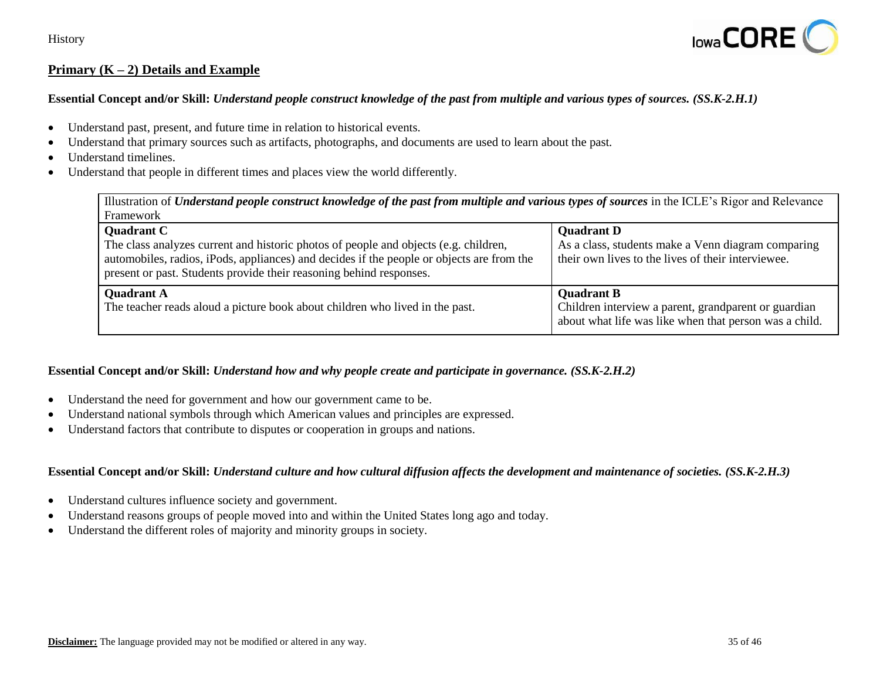

# **Primary (K – 2) Details and Example**

## **Essential Concept and/or Skill:** *Understand people construct knowledge of the past from multiple and various types of sources. (SS.K-2.H.1)*

- Understand past, present, and future time in relation to historical events.
- Understand that primary sources such as artifacts, photographs, and documents are used to learn about the past.
- Understand timelines.
- Understand that people in different times and places view the world differently.

| Illustration of Understand people construct knowledge of the past from multiple and various types of sources in the ICLE's Rigor and Relevance                                                                                                                                |                                                                                                                                     |  |
|-------------------------------------------------------------------------------------------------------------------------------------------------------------------------------------------------------------------------------------------------------------------------------|-------------------------------------------------------------------------------------------------------------------------------------|--|
| Framework                                                                                                                                                                                                                                                                     |                                                                                                                                     |  |
| <b>Quadrant C</b><br>The class analyzes current and historic photos of people and objects (e.g. children,<br>automobiles, radios, iPods, appliances) and decides if the people or objects are from the<br>present or past. Students provide their reasoning behind responses. | <b>Quadrant D</b><br>As a class, students make a Venn diagram comparing<br>their own lives to the lives of their interviewee.       |  |
| <b>Quadrant A</b><br>The teacher reads aloud a picture book about children who lived in the past.                                                                                                                                                                             | <b>Quadrant B</b><br>Children interview a parent, grandparent or guardian<br>about what life was like when that person was a child. |  |

## **Essential Concept and/or Skill:** *Understand how and why people create and participate in governance. (SS.K-2.H.2)*

- Understand the need for government and how our government came to be.
- Understand national symbols through which American values and principles are expressed.
- Understand factors that contribute to disputes or cooperation in groups and nations.

#### **Essential Concept and/or Skill:** *Understand culture and how cultural diffusion affects the development and maintenance of societies. (SS.K-2.H.3)*

- Understand cultures influence society and government.
- Understand reasons groups of people moved into and within the United States long ago and today.
- Understand the different roles of majority and minority groups in society.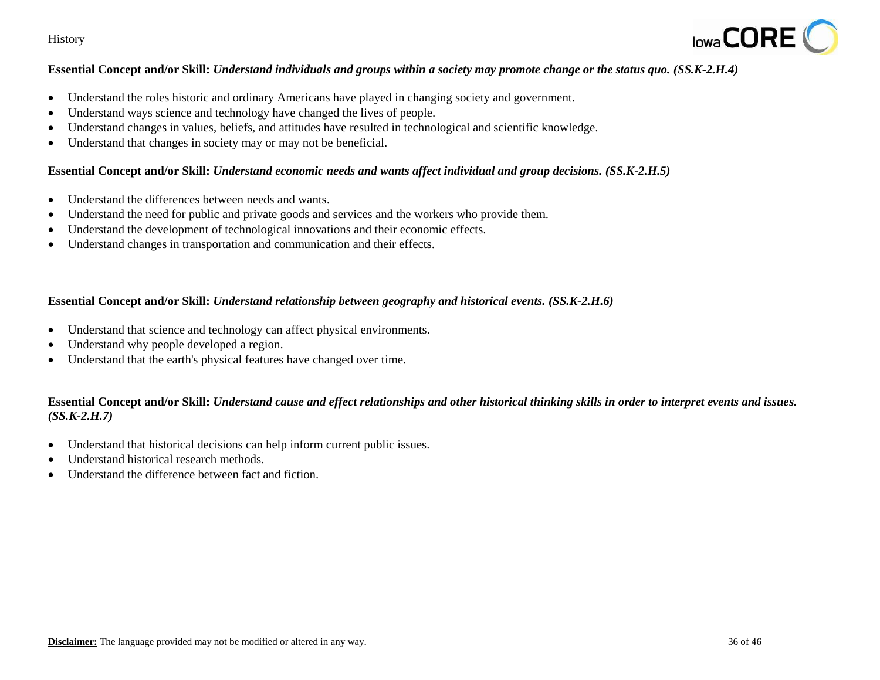

## **Essential Concept and/or Skill:** *Understand individuals and groups within a society may promote change or the status quo. (SS.K-2.H.4)*

- Understand the roles historic and ordinary Americans have played in changing society and government.
- Understand ways science and technology have changed the lives of people.
- Understand changes in values, beliefs, and attitudes have resulted in technological and scientific knowledge.
- Understand that changes in society may or may not be beneficial.

#### **Essential Concept and/or Skill:** *Understand economic needs and wants affect individual and group decisions. (SS.K-2.H.5)*

- Understand the differences between needs and wants.
- Understand the need for public and private goods and services and the workers who provide them.
- Understand the development of technological innovations and their economic effects.
- Understand changes in transportation and communication and their effects.

#### **Essential Concept and/or Skill:** *Understand relationship between geography and historical events. (SS.K-2.H.6)*

- Understand that science and technology can affect physical environments.
- Understand why people developed a region.
- Understand that the earth's physical features have changed over time.

## **Essential Concept and/or Skill:** *Understand cause and effect relationships and other historical thinking skills in order to interpret events and issues. (SS.K-2.H.7)*

- Understand that historical decisions can help inform current public issues.
- Understand historical research methods.
- Understand the difference between fact and fiction.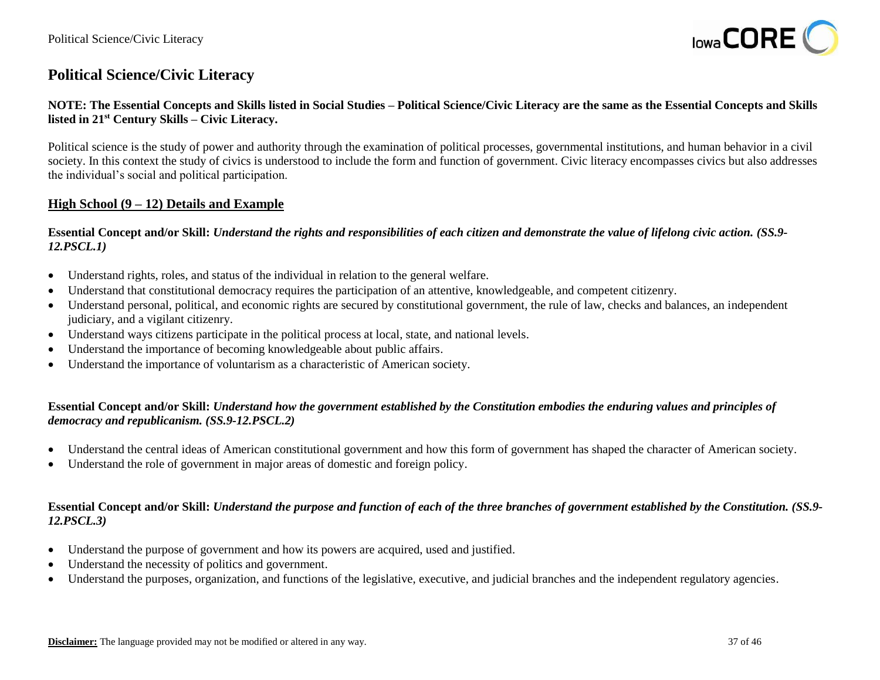

# **Political Science/Civic Literacy**

## **NOTE: The Essential Concepts and Skills listed in Social Studies – Political Science/Civic Literacy are the same as the Essential Concepts and Skills listed in 21st Century Skills – Civic Literacy.**

Political science is the study of power and authority through the examination of political processes, governmental institutions, and human behavior in a civil society. In this context the study of civics is understood to include the form and function of government. Civic literacy encompasses civics but also addresses the individual's social and political participation.

## **High School (9 – 12) Details and Example**

**Essential Concept and/or Skill:** *Understand the rights and responsibilities of each citizen and demonstrate the value of lifelong civic action. (SS.9- 12.PSCL.1)*

- Understand rights, roles, and status of the individual in relation to the general welfare.
- Understand that constitutional democracy requires the participation of an attentive, knowledgeable, and competent citizenry.
- Understand personal, political, and economic rights are secured by constitutional government, the rule of law, checks and balances, an independent judiciary, and a vigilant citizenry.
- Understand ways citizens participate in the political process at local, state, and national levels.
- Understand the importance of becoming knowledgeable about public affairs.
- Understand the importance of voluntarism as a characteristic of American society.

## **Essential Concept and/or Skill:** *Understand how the government established by the Constitution embodies the enduring values and principles of democracy and republicanism. (SS.9-12.PSCL.2)*

- Understand the central ideas of American constitutional government and how this form of government has shaped the character of American society.
- Understand the role of government in major areas of domestic and foreign policy.

#### **Essential Concept and/or Skill:** *Understand the purpose and function of each of the three branches of government established by the Constitution. (SS.9- 12.PSCL.3)*

- Understand the purpose of government and how its powers are acquired, used and justified.
- Understand the necessity of politics and government.
- Understand the purposes, organization, and functions of the legislative, executive, and judicial branches and the independent regulatory agencies.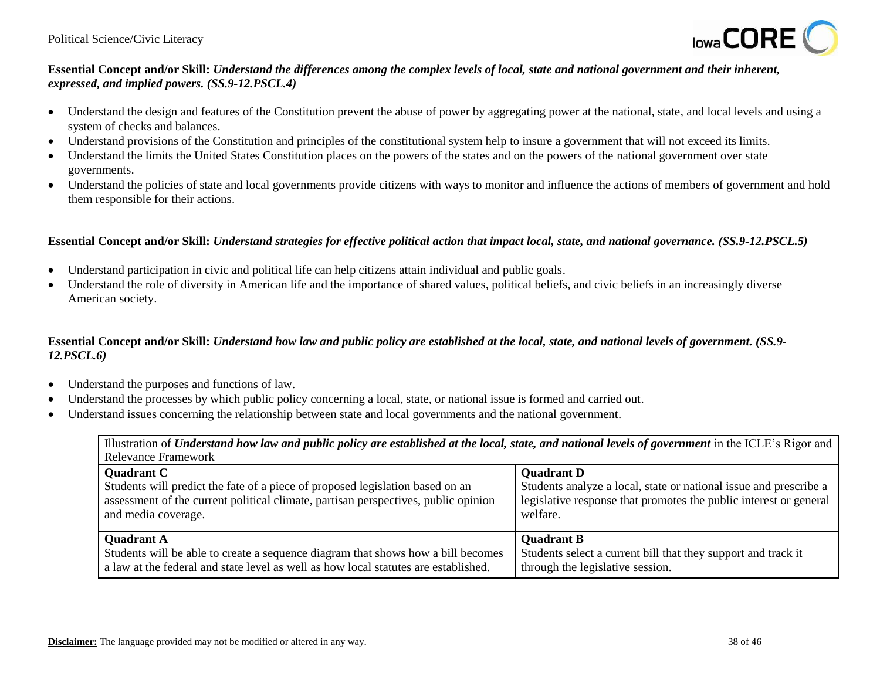

## **Essential Concept and/or Skill:** *Understand the differences among the complex levels of local, state and national government and their inherent, expressed, and implied powers. (SS.9-12.PSCL.4)*

- Understand the design and features of the Constitution prevent the abuse of power by aggregating power at the national, state, and local levels and using a system of checks and balances.
- Understand provisions of the Constitution and principles of the constitutional system help to insure a government that will not exceed its limits.
- Understand the limits the United States Constitution places on the powers of the states and on the powers of the national government over state governments.
- Understand the policies of state and local governments provide citizens with ways to monitor and influence the actions of members of government and hold them responsible for their actions.

## **Essential Concept and/or Skill:** *Understand strategies for effective political action that impact local, state, and national governance. (SS.9-12.PSCL.5)*

- Understand participation in civic and political life can help citizens attain individual and public goals.
- Understand the role of diversity in American life and the importance of shared values, political beliefs, and civic beliefs in an increasingly diverse American society.

## **Essential Concept and/or Skill:** *Understand how law and public policy are established at the local, state, and national levels of government. (SS.9- 12.PSCL.6)*

- Understand the purposes and functions of law.
- Understand the processes by which public policy concerning a local, state, or national issue is formed and carried out.
- Understand issues concerning the relationship between state and local governments and the national government.

Illustration of *Understand how law and public policy are established at the local, state, and national levels of government* in the ICLE's Rigor and Relevance Framework

| <b>Quadrant D</b>                                                 |
|-------------------------------------------------------------------|
| Students analyze a local, state or national issue and prescribe a |
| legislative response that promotes the public interest or general |
| welfare.                                                          |
|                                                                   |
| <b>Quadrant B</b>                                                 |
| Students select a current bill that they support and track it     |
| through the legislative session.                                  |
|                                                                   |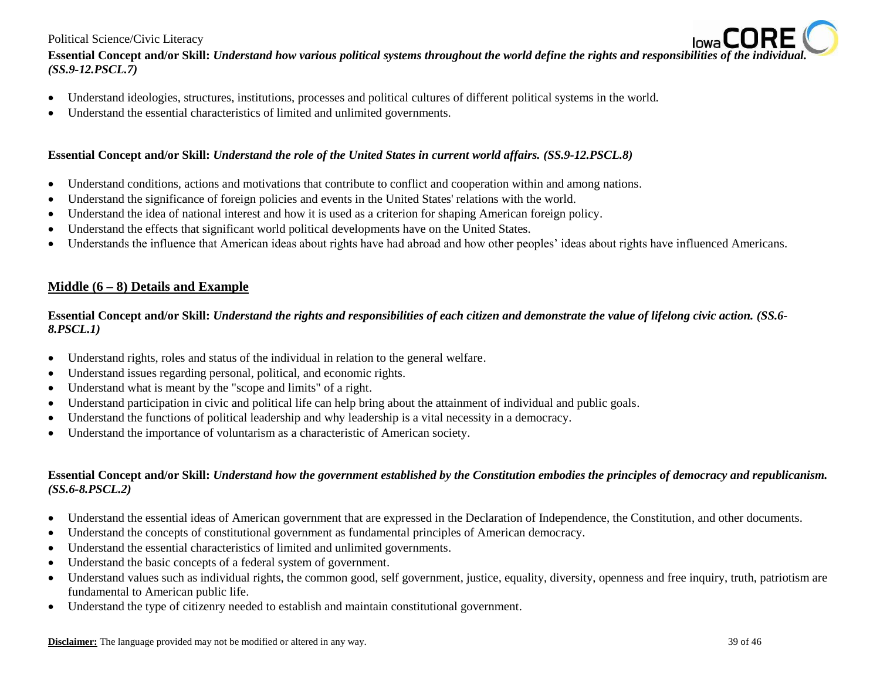#### Political Science/Civic Literacy

**Essential Concept and/or Skill:** *Understand how various political systems throughout the world define the rights and responsibilities of the individual. (SS.9-12.PSCL.7)*

- Understand ideologies, structures, institutions, processes and political cultures of different political systems in the world.
- Understand the essential characteristics of limited and unlimited governments.

## **Essential Concept and/or Skill:** *Understand the role of the United States in current world affairs. (SS.9-12.PSCL.8)*

- Understand conditions, actions and motivations that contribute to conflict and cooperation within and among nations.
- Understand the significance of foreign policies and events in the United States' relations with the world.
- Understand the idea of national interest and how it is used as a criterion for shaping American foreign policy.
- Understand the effects that significant world political developments have on the United States.
- Understands the influence that American ideas about rights have had abroad and how other peoples' ideas about rights have influenced Americans.

# **Middle (6 – 8) Details and Example**

**Essential Concept and/or Skill:** *Understand the rights and responsibilities of each citizen and demonstrate the value of lifelong civic action. (SS.6- 8.PSCL.1)*

- Understand rights, roles and status of the individual in relation to the general welfare.
- Understand issues regarding personal, political, and economic rights.
- Understand what is meant by the "scope and limits" of a right.
- Understand participation in civic and political life can help bring about the attainment of individual and public goals.
- Understand the functions of political leadership and why leadership is a vital necessity in a democracy.
- Understand the importance of voluntarism as a characteristic of American society.

## **Essential Concept and/or Skill:** *Understand how the government established by the Constitution embodies the principles of democracy and republicanism. (SS.6-8.PSCL.2)*

- Understand the essential ideas of American government that are expressed in the Declaration of Independence, the Constitution, and other documents.
- Understand the concepts of constitutional government as fundamental principles of American democracy.
- Understand the essential characteristics of limited and unlimited governments.
- Understand the basic concepts of a federal system of government.
- Understand values such as individual rights, the common good, self government, justice, equality, diversity, openness and free inquiry, truth, patriotism are fundamental to American public life.
- Understand the type of citizenry needed to establish and maintain constitutional government.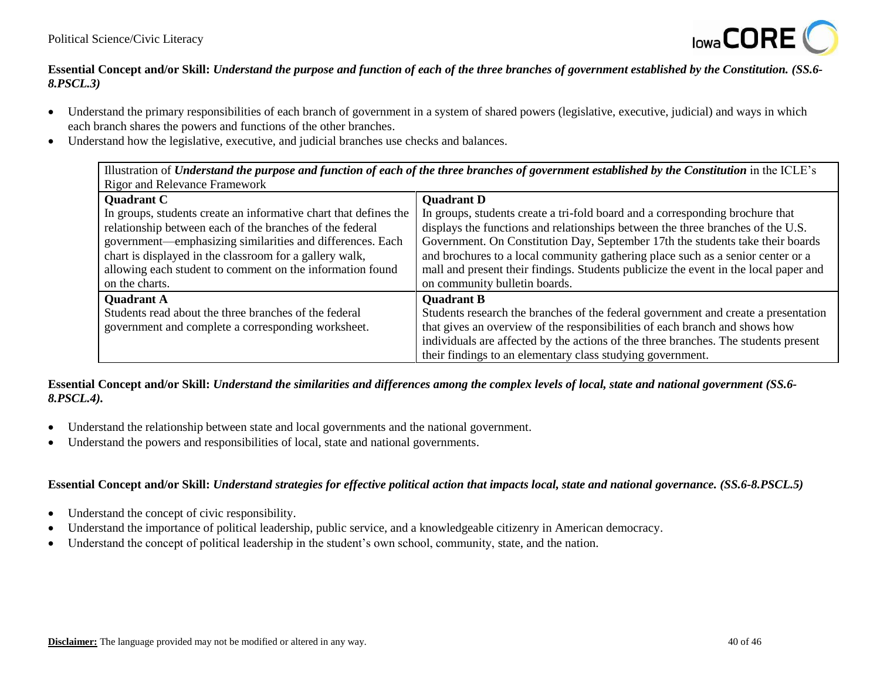

## **Essential Concept and/or Skill:** *Understand the purpose and function of each of the three branches of government established by the Constitution. (SS.6- 8.PSCL.3)*

- Understand the primary responsibilities of each branch of government in a system of shared powers (legislative, executive, judicial) and ways in which each branch shares the powers and functions of the other branches.
- Understand how the legislative, executive, and judicial branches use checks and balances.

| Illustration of Understand the purpose and function of each of the three branches of government established by the Constitution in the ICLE's |                                                                                      |  |
|-----------------------------------------------------------------------------------------------------------------------------------------------|--------------------------------------------------------------------------------------|--|
| <b>Rigor and Relevance Framework</b>                                                                                                          |                                                                                      |  |
| <b>Quadrant C</b>                                                                                                                             | <b>Quadrant D</b>                                                                    |  |
| In groups, students create an informative chart that defines the                                                                              | In groups, students create a tri-fold board and a corresponding brochure that        |  |
| relationship between each of the branches of the federal                                                                                      | displays the functions and relationships between the three branches of the U.S.      |  |
| government—emphasizing similarities and differences. Each                                                                                     | Government. On Constitution Day, September 17th the students take their boards       |  |
| chart is displayed in the classroom for a gallery walk,                                                                                       | and brochures to a local community gathering place such as a senior center or a      |  |
| allowing each student to comment on the information found                                                                                     | mall and present their findings. Students publicize the event in the local paper and |  |
| on the charts.                                                                                                                                | on community bulletin boards.                                                        |  |
| <b>Quadrant A</b>                                                                                                                             | <b>Quadrant B</b>                                                                    |  |
| Students read about the three branches of the federal                                                                                         | Students research the branches of the federal government and create a presentation   |  |
| government and complete a corresponding worksheet.                                                                                            | that gives an overview of the responsibilities of each branch and shows how          |  |
|                                                                                                                                               | individuals are affected by the actions of the three branches. The students present  |  |
|                                                                                                                                               | their findings to an elementary class studying government.                           |  |

**Essential Concept and/or Skill:** *Understand the similarities and differences among the complex levels of local, state and national government (SS.6- 8.PSCL.4).*

- Understand the relationship between state and local governments and the national government.
- Understand the powers and responsibilities of local, state and national governments.

**Essential Concept and/or Skill:** *Understand strategies for effective political action that impacts local, state and national governance. (SS.6-8.PSCL.5)*

- Understand the concept of civic responsibility.
- Understand the importance of political leadership, public service, and a knowledgeable citizenry in American democracy.
- Understand the concept of political leadership in the student's own school, community, state, and the nation.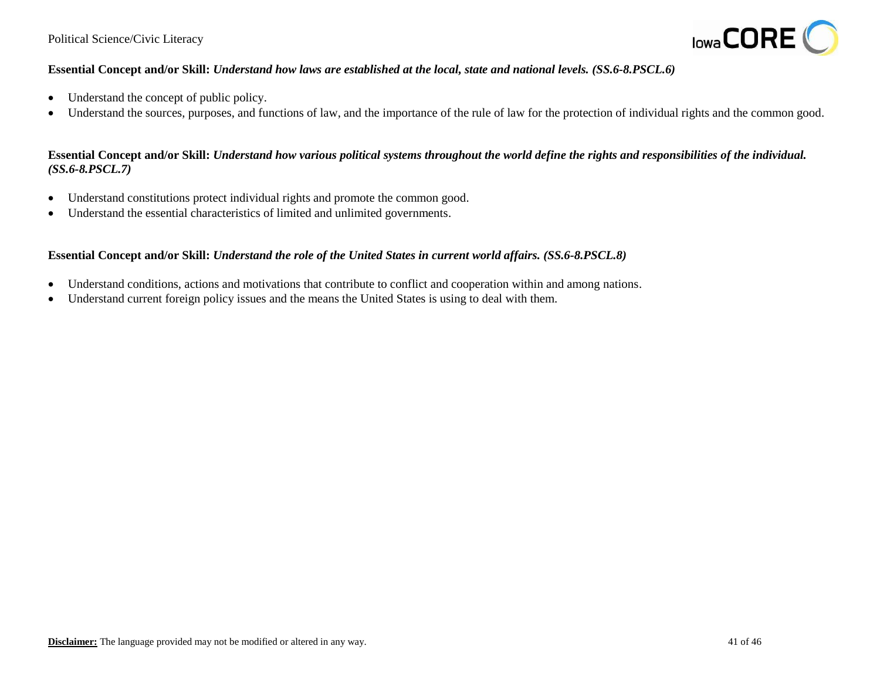

## **Essential Concept and/or Skill:** *Understand how laws are established at the local, state and national levels. (SS.6-8.PSCL.6)*

- Understand the concept of public policy.
- Understand the sources, purposes, and functions of law, and the importance of the rule of law for the protection of individual rights and the common good.

## **Essential Concept and/or Skill:** *Understand how various political systems throughout the world define the rights and responsibilities of the individual. (SS.6-8.PSCL.7)*

- Understand constitutions protect individual rights and promote the common good.
- Understand the essential characteristics of limited and unlimited governments.

#### **Essential Concept and/or Skill:** *Understand the role of the United States in current world affairs. (SS.6-8.PSCL.8)*

- Understand conditions, actions and motivations that contribute to conflict and cooperation within and among nations.
- Understand current foreign policy issues and the means the United States is using to deal with them.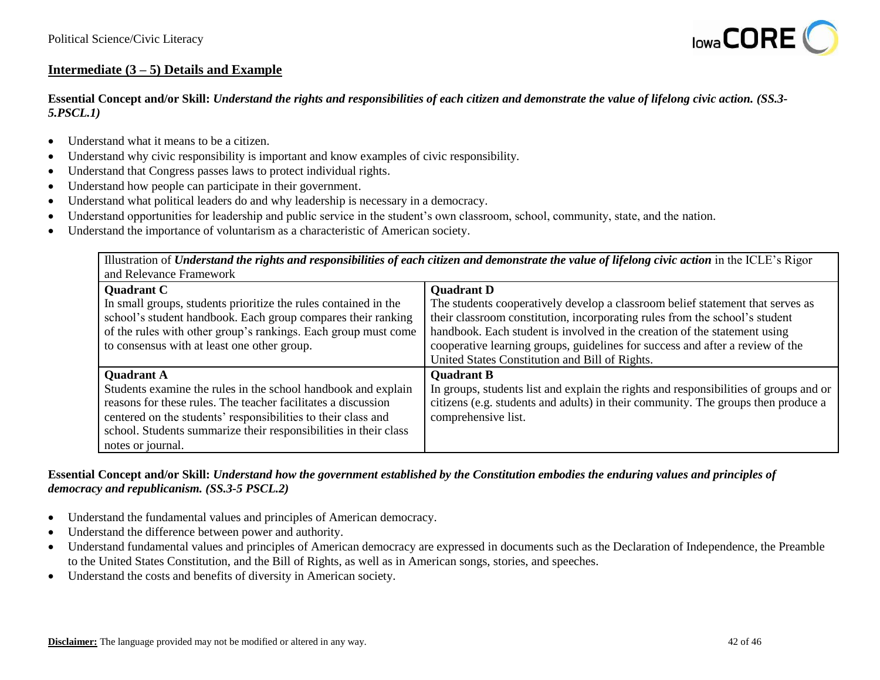

## **Intermediate (3 – 5) Details and Example**

**Essential Concept and/or Skill:** *Understand the rights and responsibilities of each citizen and demonstrate the value of lifelong civic action. (SS.3- 5.PSCL.1)*

- Understand what it means to be a citizen.
- Understand why civic responsibility is important and know examples of civic responsibility.
- Understand that Congress passes laws to protect individual rights.
- Understand how people can participate in their government.
- Understand what political leaders do and why leadership is necessary in a democracy.
- Understand opportunities for leadership and public service in the student's own classroom, school, community, state, and the nation.
- Understand the importance of voluntarism as a characteristic of American society.

Illustration of *Understand the rights and responsibilities of each citizen and demonstrate the value of lifelong civic action* in the ICLE's Rigor and Relevance Framework

| <b>Quadrant C</b>                                                | <b>Quadrant D</b>                                                                     |
|------------------------------------------------------------------|---------------------------------------------------------------------------------------|
| In small groups, students prioritize the rules contained in the  | The students cooperatively develop a classroom belief statement that serves as        |
| school's student handbook. Each group compares their ranking     | their classroom constitution, incorporating rules from the school's student           |
| of the rules with other group's rankings. Each group must come   | handbook. Each student is involved in the creation of the statement using             |
| to consensus with at least one other group.                      | cooperative learning groups, guidelines for success and after a review of the         |
|                                                                  | United States Constitution and Bill of Rights.                                        |
| <b>Quadrant A</b>                                                | <b>Quadrant B</b>                                                                     |
| Students examine the rules in the school handbook and explain    | In groups, students list and explain the rights and responsibilities of groups and or |
| reasons for these rules. The teacher facilitates a discussion    | citizens (e.g. students and adults) in their community. The groups then produce a     |
| centered on the students' responsibilities to their class and    | comprehensive list.                                                                   |
| school. Students summarize their responsibilities in their class |                                                                                       |
| notes or journal.                                                |                                                                                       |

#### **Essential Concept and/or Skill:** *Understand how the government established by the Constitution embodies the enduring values and principles of democracy and republicanism. (SS.3-5 PSCL.2)*

- Understand the fundamental values and principles of American democracy.
- Understand the difference between power and authority.
- Understand fundamental values and principles of American democracy are expressed in documents such as the Declaration of Independence, the Preamble to the United States Constitution, and the Bill of Rights, as well as in American songs, stories, and speeches.
- Understand the costs and benefits of diversity in American society.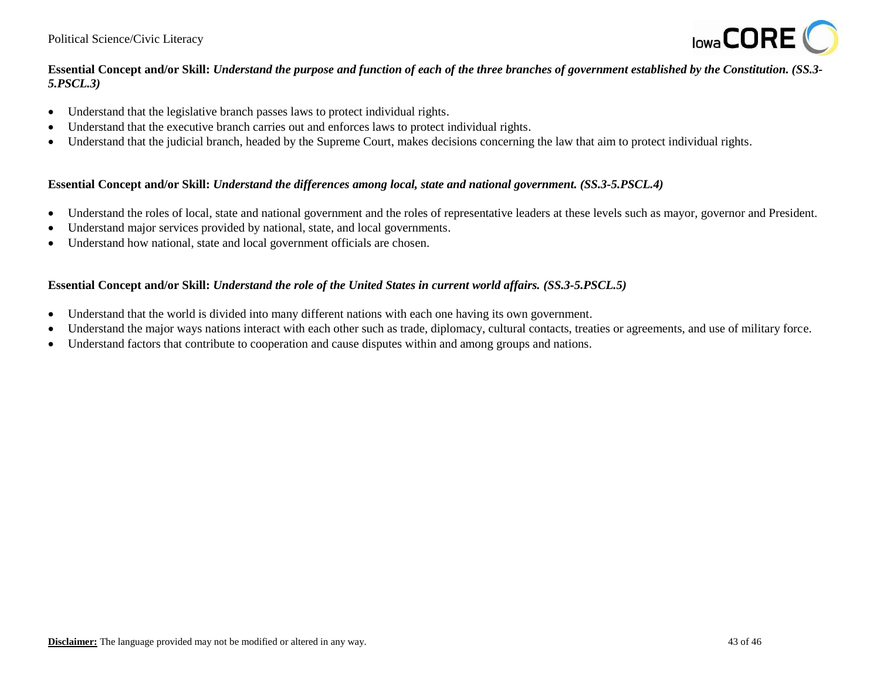

## **Essential Concept and/or Skill:** *Understand the purpose and function of each of the three branches of government established by the Constitution. (SS.3- 5.PSCL.3)*

- Understand that the legislative branch passes laws to protect individual rights.
- Understand that the executive branch carries out and enforces laws to protect individual rights.
- Understand that the judicial branch, headed by the Supreme Court, makes decisions concerning the law that aim to protect individual rights.

#### **Essential Concept and/or Skill:** *Understand the differences among local, state and national government. (SS.3-5.PSCL.4)*

- Understand the roles of local, state and national government and the roles of representative leaders at these levels such as mayor, governor and President.
- Understand major services provided by national, state, and local governments.
- Understand how national, state and local government officials are chosen.

## **Essential Concept and/or Skill:** *Understand the role of the United States in current world affairs. (SS.3-5.PSCL.5)*

- Understand that the world is divided into many different nations with each one having its own government.
- Understand the major ways nations interact with each other such as trade, diplomacy, cultural contacts, treaties or agreements, and use of military force.
- Understand factors that contribute to cooperation and cause disputes within and among groups and nations.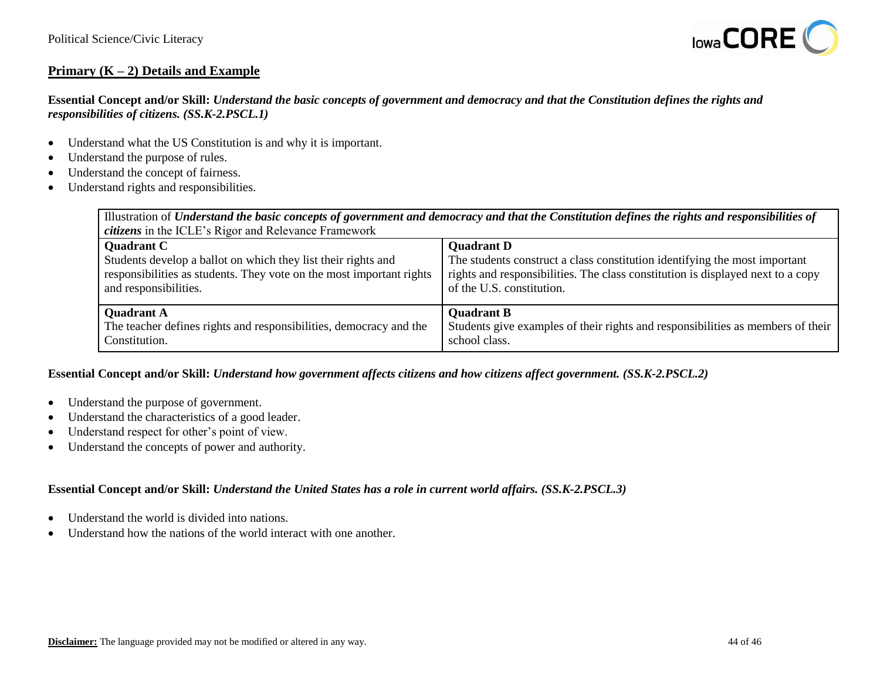

# **Primary (K – 2) Details and Example**

## **Essential Concept and/or Skill:** *Understand the basic concepts of government and democracy and that the Constitution defines the rights and responsibilities of citizens. (SS.K-2.PSCL.1)*

- Understand what the US Constitution is and why it is important.
- Understand the purpose of rules.
- Understand the concept of fairness.
- Understand rights and responsibilities.

| Illustration of Understand the basic concepts of government and democracy and that the Constitution defines the rights and responsibilities of<br><i>citizens</i> in the ICLE's Rigor and Relevance Framework |                                                                                 |  |
|---------------------------------------------------------------------------------------------------------------------------------------------------------------------------------------------------------------|---------------------------------------------------------------------------------|--|
| <b>Quadrant C</b>                                                                                                                                                                                             | <b>Quadrant D</b>                                                               |  |
| Students develop a ballot on which they list their rights and                                                                                                                                                 | The students construct a class constitution identifying the most important      |  |
| responsibilities as students. They vote on the most important rights                                                                                                                                          | rights and responsibilities. The class constitution is displayed next to a copy |  |
| and responsibilities.                                                                                                                                                                                         | of the U.S. constitution.                                                       |  |
| <b>Quadrant A</b>                                                                                                                                                                                             | <b>Quadrant B</b>                                                               |  |
| The teacher defines rights and responsibilities, democracy and the                                                                                                                                            | Students give examples of their rights and responsibilities as members of their |  |
| Constitution.                                                                                                                                                                                                 | school class.                                                                   |  |

#### **Essential Concept and/or Skill:** *Understand how government affects citizens and how citizens affect government. (SS.K-2.PSCL.2)*

- Understand the purpose of government.
- Understand the characteristics of a good leader.
- Understand respect for other's point of view.
- Understand the concepts of power and authority.

#### **Essential Concept and/or Skill:** *Understand the United States has a role in current world affairs. (SS.K-2.PSCL.3)*

- Understand the world is divided into nations.
- Understand how the nations of the world interact with one another.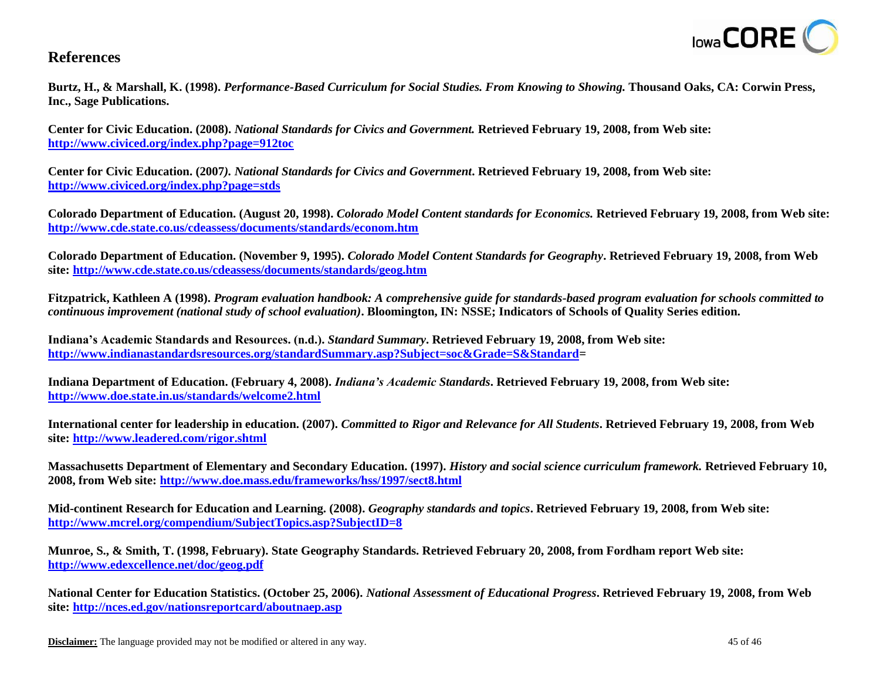

# **References**

**Burtz, H., & Marshall, K. (1998).** *Performance-Based Curriculum for Social Studies. From Knowing to Showing.* **Thousand Oaks, CA: Corwin Press, Inc., Sage Publications.** 

**Center for Civic Education. (2008).** *National Standards for Civics and Government.* **Retrieved February 19, 2008, from Web site: <http://www.civiced.org/index.php?page=912toc>**

**Center for Civic Education. (2007***). National Standards for Civics and Government***. Retrieved February 19, 2008, from Web site[:](http://www.civiced.org/index.php?page=stds) <http://www.civiced.org/index.php?page=stds>**

**Colorado Department of Education. (August 20, 1998).** *Colorado Model Content standards for Economics.* **Retrieved February 19, 2008, from Web site: <http://www.cde.state.co.us/cdeassess/documents/standards/econom.htm>**

**Colorado Department of Education. (November 9, 1995).** *Colorado Model Content Standards for Geography***. Retrieved February 19, 2008, from Web site:<http://www.cde.state.co.us/cdeassess/documents/standards/geog.htm>**

**Fitzpatrick, Kathleen A (1998).** *Program evaluation handbook: A comprehensive guide for standards-based program evaluation for schools committed to continuous improvement (national study of school evaluation)***. Bloomington, IN: NSSE; Indicators of Schools of Quality Series edition.** 

**Indiana's Academic Standards and Resources. (n.d.).** *Standard Summary***. Retrieved February 19, 2008, from Web site: [http://www.indianastandardsresources.org/standardSummary.asp?Subject=soc&Grade=S&Standard=](http://www.indianastandardsresources.org/standardSummary.asp?Subject=soc&Grade=S&Standard)** 

**Indiana Department of Education. (February 4, 2008).** *Indiana's Academic Standards***. Retrieved February 19, 2008, from Web site: <http://www.doe.state.in.us/standards/welcome2.html>**

**International center for leadership in education. (2007).** *Committed to Rigor and Relevance for All Students***. Retrieved February 19, 2008, from Web site:<http://www.leadered.com/rigor.shtml>**

**Massachusetts Department of Elementary and Secondary Education. (1997).** *History and social science curriculum framework.* **Retrieved February 10, 2008, from Web site[: http://www.doe.mass.edu/frameworks/hss/1997/sect8.html](http://www.doe.mass.edu/frameworks/hss/1997/sect8.html)**

**Mid-continent Research for Education and Learning. (2008).** *Geography standards and topics***. Retrieved February 19, 2008, from Web site: <http://www.mcrel.org/compendium/SubjectTopics.asp?SubjectID=8>**

**Munroe, S., & Smith, T. (1998, February). State Geography Standards. Retrieved February 20, 2008, from Fordham report Web site: <http://www.edexcellence.net/doc/geog.pdf>**

**National Center for Education Statistics. (October 25, 2006).** *National Assessment of Educational Progress***. Retrieved February 19, 2008, from Web site:<http://nces.ed.gov/nationsreportcard/aboutnaep.asp>**